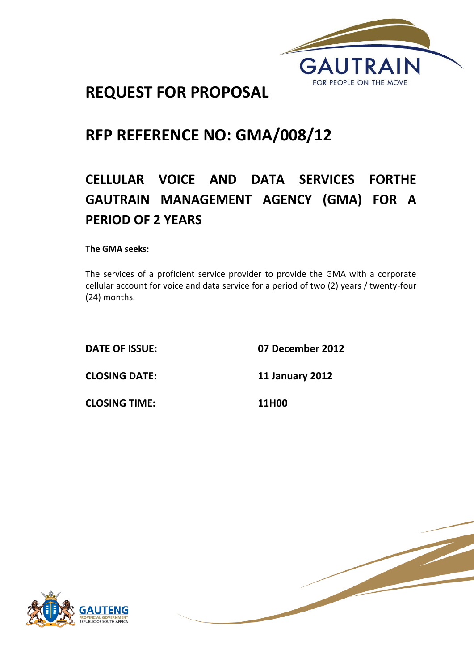

# **REQUEST FOR PROPOSAL**

# **RFP REFERENCE NO: GMA/008/12**

# **CELLULAR VOICE AND DATA SERVICES FORTHE GAUTRAIN MANAGEMENT AGENCY (GMA) FOR A PERIOD OF 2 YEARS**

**The GMA seeks:**

The services of a proficient service provider to provide the GMA with a corporate cellular account for voice and data service for a period of two (2) years / twenty-four (24) months.

**DATE OF ISSUE: 07 December 2012**

**CLOSING DATE: 11 January 2012**

**CLOSING TIME: 11H00**



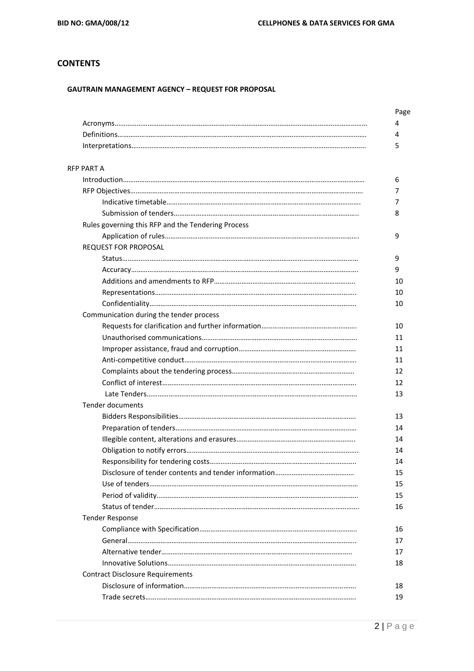# **CONTENTS**

### **GAUTRAIN MANAGEMENT AGENCY – REQUEST FOR PROPOSAL**

| <b>RFP PART A</b>                                  |  |
|----------------------------------------------------|--|
|                                                    |  |
|                                                    |  |
|                                                    |  |
|                                                    |  |
| Rules governing this RFP and the Tendering Process |  |
|                                                    |  |
| <b>REQUEST FOR PROPOSAL</b>                        |  |
|                                                    |  |
|                                                    |  |
|                                                    |  |
|                                                    |  |
|                                                    |  |
| Communication during the tender process            |  |
|                                                    |  |
|                                                    |  |
|                                                    |  |
|                                                    |  |
|                                                    |  |
|                                                    |  |
|                                                    |  |
| <b>Tender documents</b>                            |  |
|                                                    |  |
|                                                    |  |
|                                                    |  |
|                                                    |  |
|                                                    |  |
|                                                    |  |
|                                                    |  |
|                                                    |  |
|                                                    |  |
| <b>Tender Response</b>                             |  |
|                                                    |  |
|                                                    |  |
|                                                    |  |
|                                                    |  |
| <b>Contract Disclosure Requirements</b>            |  |
|                                                    |  |
|                                                    |  |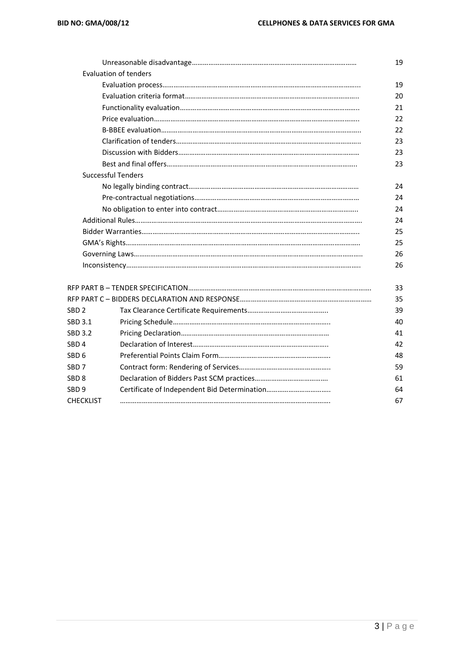|                  |                              | 19 |
|------------------|------------------------------|----|
|                  | <b>Evaluation of tenders</b> |    |
|                  |                              | 19 |
|                  |                              | 20 |
|                  |                              | 21 |
|                  |                              | 22 |
|                  |                              | 22 |
|                  |                              | 23 |
|                  |                              | 23 |
|                  |                              | 23 |
|                  | <b>Successful Tenders</b>    |    |
|                  |                              | 24 |
|                  |                              | 24 |
|                  |                              | 24 |
|                  |                              | 24 |
|                  |                              | 25 |
|                  |                              | 25 |
|                  |                              | 26 |
|                  |                              | 26 |
|                  |                              | 33 |
|                  |                              | 35 |
| SBD <sub>2</sub> |                              | 39 |
| SBD 3.1          |                              | 40 |
| SBD 3.2          |                              | 41 |
| SBD <sub>4</sub> |                              | 42 |
| SBD <sub>6</sub> |                              | 48 |
| SBD <sub>7</sub> |                              | 59 |
| SBD 8            |                              | 61 |
| SBD 9            |                              | 64 |
| <b>CHECKLIST</b> |                              | 67 |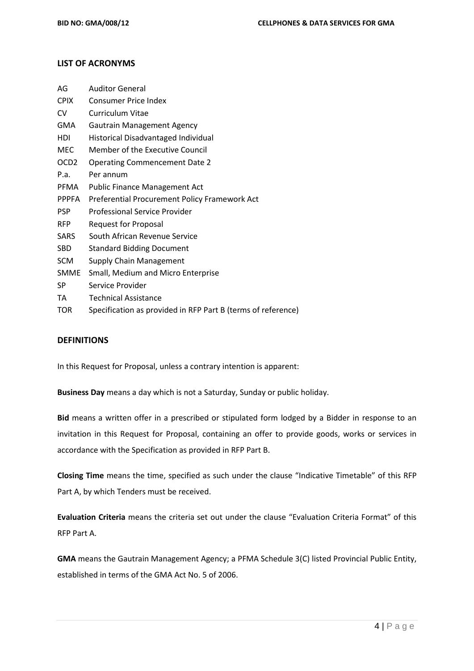# **LIST OF ACRONYMS**

| AG               | <b>Auditor General</b>                                       |
|------------------|--------------------------------------------------------------|
| <b>CPIX</b>      | <b>Consumer Price Index</b>                                  |
| CV               | <b>Curriculum Vitae</b>                                      |
| GMA              | <b>Gautrain Management Agency</b>                            |
| HDI              | Historical Disadvantaged Individual                          |
| MEC              | Member of the Executive Council                              |
| OCD <sub>2</sub> | <b>Operating Commencement Date 2</b>                         |
| P.a.             | Per annum                                                    |
| <b>PFMA</b>      | <b>Public Finance Management Act</b>                         |
| <b>PPPFA</b>     | Preferential Procurement Policy Framework Act                |
| <b>PSP</b>       | Professional Service Provider                                |
| <b>RFP</b>       | <b>Request for Proposal</b>                                  |
| SARS             | South African Revenue Service                                |
| SBD              | <b>Standard Bidding Document</b>                             |
| <b>SCM</b>       | Supply Chain Management                                      |
| <b>SMME</b>      | Small, Medium and Micro Enterprise                           |
| SP               | Service Provider                                             |
| TA               | <b>Technical Assistance</b>                                  |
| TOR              | Specification as provided in RFP Part B (terms of reference) |

### **DEFINITIONS**

In this Request for Proposal, unless a contrary intention is apparent:

**Business Day** means a day which is not a Saturday, Sunday or public holiday.

**Bid** means a written offer in a prescribed or stipulated form lodged by a Bidder in response to an invitation in this Request for Proposal, containing an offer to provide goods, works or services in accordance with the Specification as provided in RFP Part B.

**Closing Time** means the time, specified as such under the clause "Indicative Timetable" of this RFP Part A, by which Tenders must be received.

**Evaluation Criteria** means the criteria set out under the clause "Evaluation Criteria Format" of this RFP Part A.

**GMA** means the Gautrain Management Agency; a PFMA Schedule 3(C) listed Provincial Public Entity, established in terms of the GMA Act No. 5 of 2006.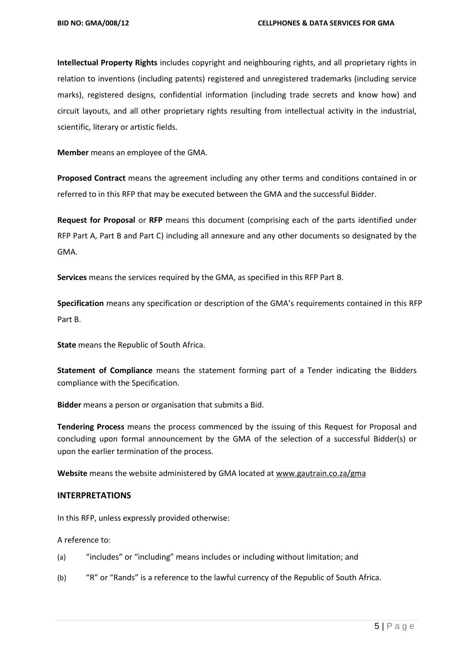**Intellectual Property Rights** includes copyright and neighbouring rights, and all proprietary rights in relation to inventions (including patents) registered and unregistered trademarks (including service marks), registered designs, confidential information (including trade secrets and know how) and circuit layouts, and all other proprietary rights resulting from intellectual activity in the industrial, scientific, literary or artistic fields.

**Member** means an employee of the GMA.

**Proposed Contract** means the agreement including any other terms and conditions contained in or referred to in this RFP that may be executed between the GMA and the successful Bidder.

**Request for Proposal** or **RFP** means this document (comprising each of the parts identified under RFP Part A, Part B and Part C) including all annexure and any other documents so designated by the GMA.

**Services** means the services required by the GMA, as specified in this RFP Part B.

**Specification** means any specification or description of the GMA's requirements contained in this RFP Part B.

**State** means the Republic of South Africa.

**Statement of Compliance** means the statement forming part of a Tender indicating the Bidders compliance with the Specification.

**Bidder** means a person or organisation that submits a Bid.

**Tendering Process** means the process commenced by the issuing of this Request for Proposal and concluding upon formal announcement by the GMA of the selection of a successful Bidder(s) or upon the earlier termination of the process.

**Website** means the website administered by GMA located a[t www.gautrain.co.za/](http://www.gautrain.co.za/)gma

## **INTERPRETATIONS**

In this RFP, unless expressly provided otherwise:

A reference to:

- (a) "includes" or "including" means includes or including without limitation; and
- (b) "R" or "Rands" is a reference to the lawful currency of the Republic of South Africa.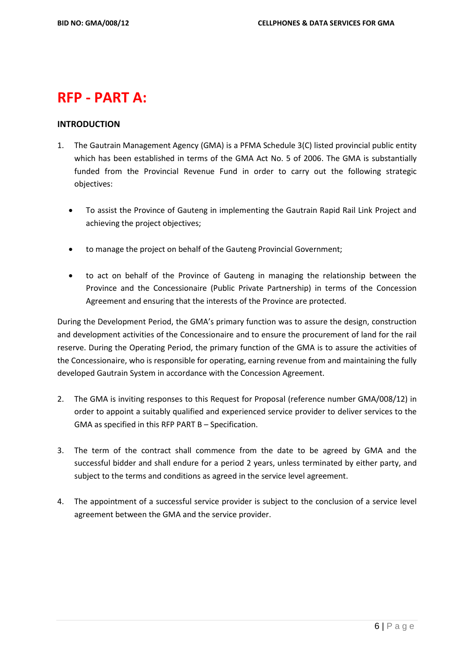# **RFP - PART A:**

# **INTRODUCTION**

- 1. The Gautrain Management Agency (GMA) is a PFMA Schedule 3(C) listed provincial public entity which has been established in terms of the GMA Act No. 5 of 2006. The GMA is substantially funded from the Provincial Revenue Fund in order to carry out the following strategic objectives:
	- To assist the Province of Gauteng in implementing the Gautrain Rapid Rail Link Project and achieving the project objectives;
	- to manage the project on behalf of the Gauteng Provincial Government;
	- to act on behalf of the Province of Gauteng in managing the relationship between the Province and the Concessionaire (Public Private Partnership) in terms of the Concession Agreement and ensuring that the interests of the Province are protected.

During the Development Period, the GMA's primary function was to assure the design, construction and development activities of the Concessionaire and to ensure the procurement of land for the rail reserve. During the Operating Period, the primary function of the GMA is to assure the activities of the Concessionaire, who is responsible for operating, earning revenue from and maintaining the fully developed Gautrain System in accordance with the Concession Agreement.

- 2. The GMA is inviting responses to this Request for Proposal (reference number GMA/008/12) in order to appoint a suitably qualified and experienced service provider to deliver services to the GMA as specified in this RFP PART B – Specification.
- 3. The term of the contract shall commence from the date to be agreed by GMA and the successful bidder and shall endure for a period 2 years, unless terminated by either party, and subject to the terms and conditions as agreed in the service level agreement.
- 4. The appointment of a successful service provider is subject to the conclusion of a service level agreement between the GMA and the service provider.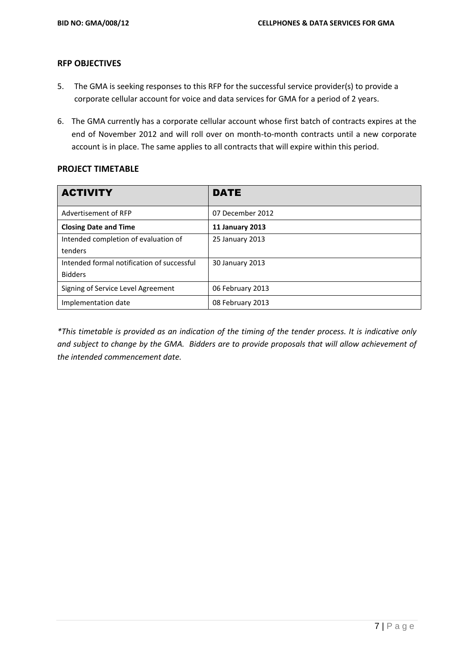# **RFP OBJECTIVES**

- 5. The GMA is seeking responses to this RFP for the successful service provider(s) to provide a corporate cellular account for voice and data services for GMA for a period of 2 years.
- 6. The GMA currently has a corporate cellular account whose first batch of contracts expires at the end of November 2012 and will roll over on month-to-month contracts until a new corporate account is in place. The same applies to all contracts that will expire within this period.

# **PROJECT TIMETABLE**

| <b>ACTIVITY</b>                            | <b>DATE</b>            |
|--------------------------------------------|------------------------|
| Advertisement of RFP                       | 07 December 2012       |
| <b>Closing Date and Time</b>               | <b>11 January 2013</b> |
| Intended completion of evaluation of       | 25 January 2013        |
| tenders                                    |                        |
| Intended formal notification of successful | 30 January 2013        |
| <b>Bidders</b>                             |                        |
| Signing of Service Level Agreement         | 06 February 2013       |
| Implementation date                        | 08 February 2013       |

*\*This timetable is provided as an indication of the timing of the tender process. It is indicative only and subject to change by the GMA. Bidders are to provide proposals that will allow achievement of the intended commencement date.*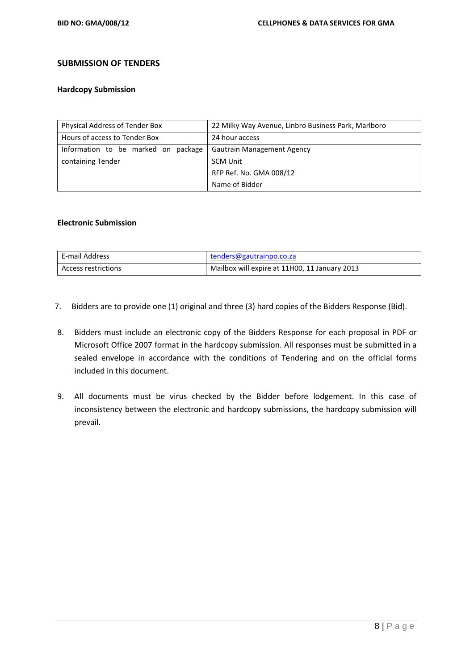# **SUBMISSION OF TENDERS**

### **Hardcopy Submission**

| Physical Address of Tender Box      | 22 Milky Way Avenue, Linbro Business Park, Marlboro |
|-------------------------------------|-----------------------------------------------------|
| Hours of access to Tender Box       | 24 hour access                                      |
| Information to be marked on package | <b>Gautrain Management Agency</b>                   |
| containing Tender                   | <b>SCM Unit</b>                                     |
|                                     | RFP Ref. No. GMA 008/12                             |
|                                     | Name of Bidder                                      |

# **Electronic Submission**

| E-mail Address      | tenders@gautrainpo.co.za                      |
|---------------------|-----------------------------------------------|
| Access restrictions | Mailbox will expire at 11H00, 11 January 2013 |

- 7. Bidders are to provide one (1) original and three (3) hard copies of the Bidders Response (Bid).
- 8. Bidders must include an electronic copy of the Bidders Response for each proposal in PDF or Microsoft Office 2007 format in the hardcopy submission. All responses must be submitted in a sealed envelope in accordance with the conditions of Tendering and on the official forms included in this document.
- 9. All documents must be virus checked by the Bidder before lodgement. In this case of inconsistency between the electronic and hardcopy submissions, the hardcopy submission will prevail.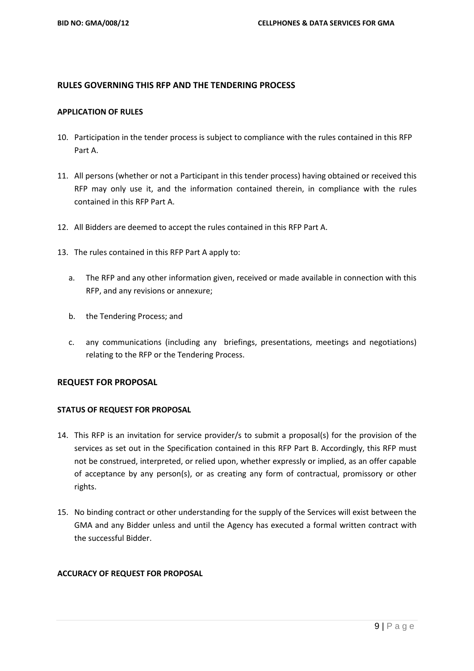# **RULES GOVERNING THIS RFP AND THE TENDERING PROCESS**

### **APPLICATION OF RULES**

- 10. Participation in the tender process is subject to compliance with the rules contained in this RFP Part A.
- 11. All persons (whether or not a Participant in this tender process) having obtained or received this RFP may only use it, and the information contained therein, in compliance with the rules contained in this RFP Part A.
- 12. All Bidders are deemed to accept the rules contained in this RFP Part A.
- 13. The rules contained in this RFP Part A apply to:
	- a. The RFP and any other information given, received or made available in connection with this RFP, and any revisions or annexure;
	- b. the Tendering Process; and
	- c. any communications (including any briefings, presentations, meetings and negotiations) relating to the RFP or the Tendering Process.

## **REQUEST FOR PROPOSAL**

## **STATUS OF REQUEST FOR PROPOSAL**

- 14. This RFP is an invitation for service provider/s to submit a proposal(s) for the provision of the services as set out in the Specification contained in this RFP Part B. Accordingly, this RFP must not be construed, interpreted, or relied upon, whether expressly or implied, as an offer capable of acceptance by any person(s), or as creating any form of contractual, promissory or other rights.
- 15. No binding contract or other understanding for the supply of the Services will exist between the GMA and any Bidder unless and until the Agency has executed a formal written contract with the successful Bidder.

## **ACCURACY OF REQUEST FOR PROPOSAL**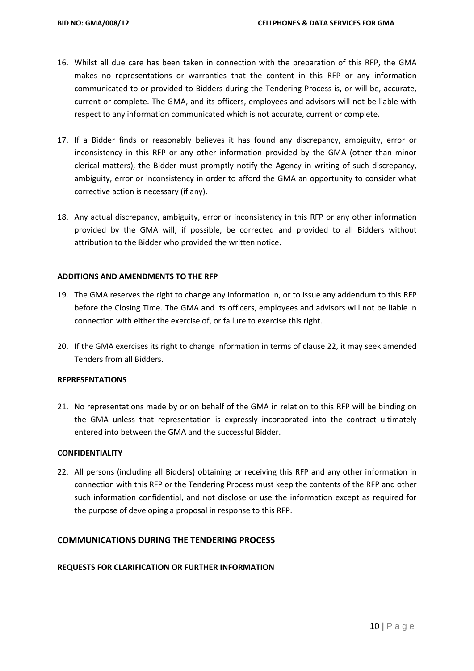- 16. Whilst all due care has been taken in connection with the preparation of this RFP, the GMA makes no representations or warranties that the content in this RFP or any information communicated to or provided to Bidders during the Tendering Process is, or will be, accurate, current or complete. The GMA, and its officers, employees and advisors will not be liable with respect to any information communicated which is not accurate, current or complete.
- 17. If a Bidder finds or reasonably believes it has found any discrepancy, ambiguity, error or inconsistency in this RFP or any other information provided by the GMA (other than minor clerical matters), the Bidder must promptly notify the Agency in writing of such discrepancy, ambiguity, error or inconsistency in order to afford the GMA an opportunity to consider what corrective action is necessary (if any).
- 18. Any actual discrepancy, ambiguity, error or inconsistency in this RFP or any other information provided by the GMA will, if possible, be corrected and provided to all Bidders without attribution to the Bidder who provided the written notice.

## **ADDITIONS AND AMENDMENTS TO THE RFP**

- 19. The GMA reserves the right to change any information in, or to issue any addendum to this RFP before the Closing Time. The GMA and its officers, employees and advisors will not be liable in connection with either the exercise of, or failure to exercise this right.
- 20. If the GMA exercises its right to change information in terms of clause 22, it may seek amended Tenders from all Bidders.

### **REPRESENTATIONS**

21. No representations made by or on behalf of the GMA in relation to this RFP will be binding on the GMA unless that representation is expressly incorporated into the contract ultimately entered into between the GMA and the successful Bidder.

### **CONFIDENTIALITY**

22. All persons (including all Bidders) obtaining or receiving this RFP and any other information in connection with this RFP or the Tendering Process must keep the contents of the RFP and other such information confidential, and not disclose or use the information except as required for the purpose of developing a proposal in response to this RFP.

# **COMMUNICATIONS DURING THE TENDERING PROCESS**

## **REQUESTS FOR CLARIFICATION OR FURTHER INFORMATION**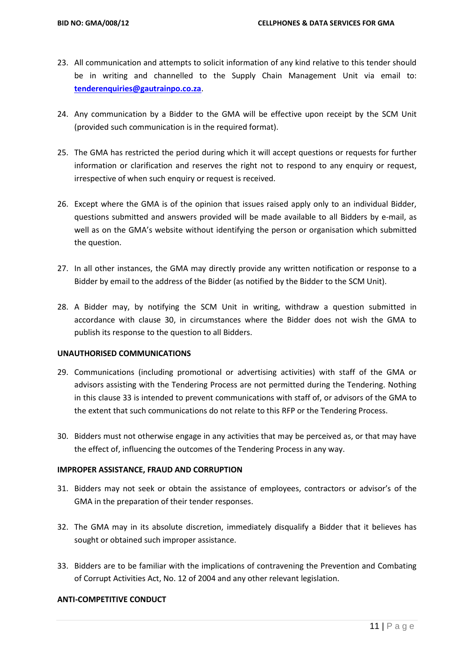- 23. All communication and attempts to solicit information of any kind relative to this tender should be in writing and channelled to the Supply Chain Management Unit via email to: **[tenderenquiries@gautrainpo.co.za](mailto:tenderenquiries@gautrainpo.co.za)**.
- 24. Any communication by a Bidder to the GMA will be effective upon receipt by the SCM Unit (provided such communication is in the required format).
- 25. The GMA has restricted the period during which it will accept questions or requests for further information or clarification and reserves the right not to respond to any enquiry or request, irrespective of when such enquiry or request is received.
- 26. Except where the GMA is of the opinion that issues raised apply only to an individual Bidder, questions submitted and answers provided will be made available to all Bidders by e-mail, as well as on the GMA's website without identifying the person or organisation which submitted the question.
- 27. In all other instances, the GMA may directly provide any written notification or response to a Bidder by email to the address of the Bidder (as notified by the Bidder to the SCM Unit).
- 28. A Bidder may, by notifying the SCM Unit in writing, withdraw a question submitted in accordance with clause 30, in circumstances where the Bidder does not wish the GMA to publish its response to the question to all Bidders.

## **UNAUTHORISED COMMUNICATIONS**

- 29. Communications (including promotional or advertising activities) with staff of the GMA or advisors assisting with the Tendering Process are not permitted during the Tendering. Nothing in this clause 33 is intended to prevent communications with staff of, or advisors of the GMA to the extent that such communications do not relate to this RFP or the Tendering Process.
- 30. Bidders must not otherwise engage in any activities that may be perceived as, or that may have the effect of, influencing the outcomes of the Tendering Process in any way.

## **IMPROPER ASSISTANCE, FRAUD AND CORRUPTION**

- 31. Bidders may not seek or obtain the assistance of employees, contractors or advisor's of the GMA in the preparation of their tender responses.
- 32. The GMA may in its absolute discretion, immediately disqualify a Bidder that it believes has sought or obtained such improper assistance.
- 33. Bidders are to be familiar with the implications of contravening the Prevention and Combating of Corrupt Activities Act, No. 12 of 2004 and any other relevant legislation.

## **ANTI-COMPETITIVE CONDUCT**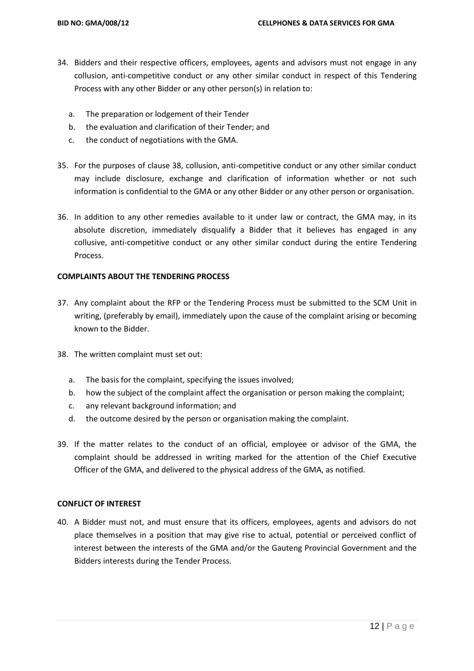- 34. Bidders and their respective officers, employees, agents and advisors must not engage in any collusion, anti-competitive conduct or any other similar conduct in respect of this Tendering Process with any other Bidder or any other person(s) in relation to:
	- a. The preparation or lodgement of their Tender
	- b. the evaluation and clarification of their Tender; and
	- c. the conduct of negotiations with the GMA.
- 35. For the purposes of clause 38, collusion, anti-competitive conduct or any other similar conduct may include disclosure, exchange and clarification of information whether or not such information is confidential to the GMA or any other Bidder or any other person or organisation.
- 36. In addition to any other remedies available to it under law or contract, the GMA may, in its absolute discretion, immediately disqualify a Bidder that it believes has engaged in any collusive, anti-competitive conduct or any other similar conduct during the entire Tendering Process.

## **COMPLAINTS ABOUT THE TENDERING PROCESS**

- 37. Any complaint about the RFP or the Tendering Process must be submitted to the SCM Unit in writing, (preferably by email), immediately upon the cause of the complaint arising or becoming known to the Bidder.
- 38. The written complaint must set out:
	- a. The basis for the complaint, specifying the issues involved;
	- b. how the subject of the complaint affect the organisation or person making the complaint;
	- c. any relevant background information; and
	- d. the outcome desired by the person or organisation making the complaint.
- 39. If the matter relates to the conduct of an official, employee or advisor of the GMA, the complaint should be addressed in writing marked for the attention of the Chief Executive Officer of the GMA, and delivered to the physical address of the GMA, as notified.

# **CONFLICT OF INTEREST**

40. A Bidder must not, and must ensure that its officers, employees, agents and advisors do not place themselves in a position that may give rise to actual, potential or perceived conflict of interest between the interests of the GMA and/or the Gauteng Provincial Government and the Bidders interests during the Tender Process.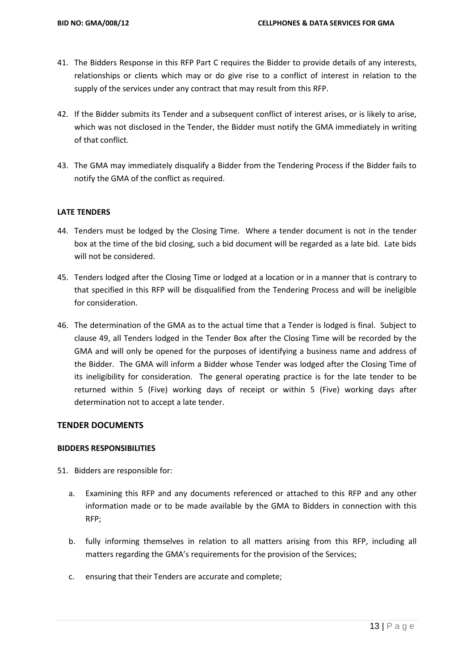- 41. The Bidders Response in this RFP Part C requires the Bidder to provide details of any interests, relationships or clients which may or do give rise to a conflict of interest in relation to the supply of the services under any contract that may result from this RFP.
- 42. If the Bidder submits its Tender and a subsequent conflict of interest arises, or is likely to arise, which was not disclosed in the Tender, the Bidder must notify the GMA immediately in writing of that conflict.
- 43. The GMA may immediately disqualify a Bidder from the Tendering Process if the Bidder fails to notify the GMA of the conflict as required.

## **LATE TENDERS**

- 44. Tenders must be lodged by the Closing Time. Where a tender document is not in the tender box at the time of the bid closing, such a bid document will be regarded as a late bid. Late bids will not be considered.
- 45. Tenders lodged after the Closing Time or lodged at a location or in a manner that is contrary to that specified in this RFP will be disqualified from the Tendering Process and will be ineligible for consideration.
- 46. The determination of the GMA as to the actual time that a Tender is lodged is final. Subject to clause 49, all Tenders lodged in the Tender Box after the Closing Time will be recorded by the GMA and will only be opened for the purposes of identifying a business name and address of the Bidder. The GMA will inform a Bidder whose Tender was lodged after the Closing Time of its ineligibility for consideration. The general operating practice is for the late tender to be returned within 5 (Five) working days of receipt or within 5 (Five) working days after determination not to accept a late tender.

## **TENDER DOCUMENTS**

# **BIDDERS RESPONSIBILITIES**

51. Bidders are responsible for:

- a. Examining this RFP and any documents referenced or attached to this RFP and any other information made or to be made available by the GMA to Bidders in connection with this RFP;
- b. fully informing themselves in relation to all matters arising from this RFP, including all matters regarding the GMA's requirements for the provision of the Services;
- c. ensuring that their Tenders are accurate and complete;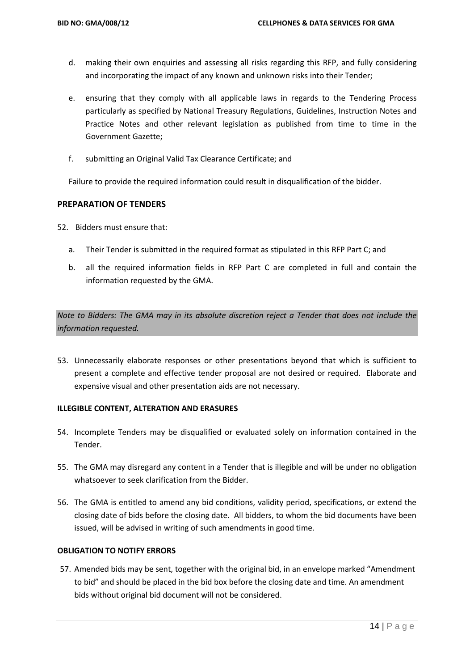- d. making their own enquiries and assessing all risks regarding this RFP, and fully considering and incorporating the impact of any known and unknown risks into their Tender;
- e. ensuring that they comply with all applicable laws in regards to the Tendering Process particularly as specified by National Treasury Regulations, Guidelines, Instruction Notes and Practice Notes and other relevant legislation as published from time to time in the Government Gazette;
- f. submitting an Original Valid Tax Clearance Certificate; and

Failure to provide the required information could result in disqualification of the bidder.

# **PREPARATION OF TENDERS**

52. Bidders must ensure that:

- a. Their Tender is submitted in the required format as stipulated in this RFP Part C; and
- b. all the required information fields in RFP Part C are completed in full and contain the information requested by the GMA.

*Note to Bidders: The GMA may in its absolute discretion reject a Tender that does not include the information requested.*

53. Unnecessarily elaborate responses or other presentations beyond that which is sufficient to present a complete and effective tender proposal are not desired or required. Elaborate and expensive visual and other presentation aids are not necessary.

## **ILLEGIBLE CONTENT, ALTERATION AND ERASURES**

- 54. Incomplete Tenders may be disqualified or evaluated solely on information contained in the Tender.
- 55. The GMA may disregard any content in a Tender that is illegible and will be under no obligation whatsoever to seek clarification from the Bidder.
- 56. The GMA is entitled to amend any bid conditions, validity period, specifications, or extend the closing date of bids before the closing date. All bidders, to whom the bid documents have been issued, will be advised in writing of such amendments in good time.

## **OBLIGATION TO NOTIFY ERRORS**

57. Amended bids may be sent, together with the original bid, in an envelope marked "Amendment to bid" and should be placed in the bid box before the closing date and time. An amendment bids without original bid document will not be considered.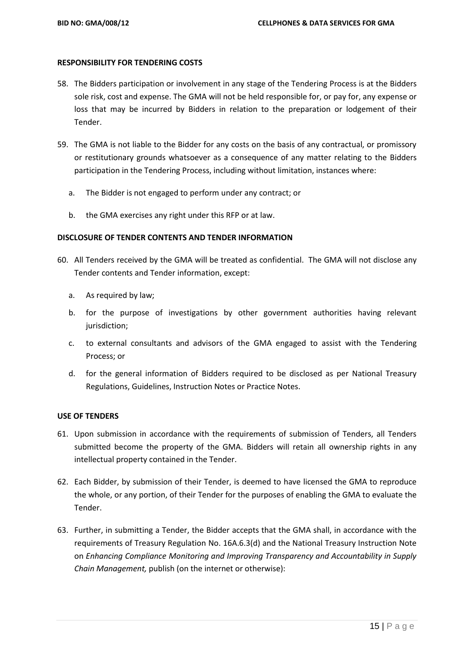### **RESPONSIBILITY FOR TENDERING COSTS**

- 58. The Bidders participation or involvement in any stage of the Tendering Process is at the Bidders sole risk, cost and expense. The GMA will not be held responsible for, or pay for, any expense or loss that may be incurred by Bidders in relation to the preparation or lodgement of their Tender.
- 59. The GMA is not liable to the Bidder for any costs on the basis of any contractual, or promissory or restitutionary grounds whatsoever as a consequence of any matter relating to the Bidders participation in the Tendering Process, including without limitation, instances where:
	- a. The Bidder is not engaged to perform under any contract; or
	- b. the GMA exercises any right under this RFP or at law.

## **DISCLOSURE OF TENDER CONTENTS AND TENDER INFORMATION**

- 60. All Tenders received by the GMA will be treated as confidential. The GMA will not disclose any Tender contents and Tender information, except:
	- a. As required by law;
	- b. for the purpose of investigations by other government authorities having relevant jurisdiction;
	- c. to external consultants and advisors of the GMA engaged to assist with the Tendering Process; or
	- d. for the general information of Bidders required to be disclosed as per National Treasury Regulations, Guidelines, Instruction Notes or Practice Notes.

## **USE OF TENDERS**

- 61. Upon submission in accordance with the requirements of submission of Tenders, all Tenders submitted become the property of the GMA. Bidders will retain all ownership rights in any intellectual property contained in the Tender.
- 62. Each Bidder, by submission of their Tender, is deemed to have licensed the GMA to reproduce the whole, or any portion, of their Tender for the purposes of enabling the GMA to evaluate the Tender.
- 63. Further, in submitting a Tender, the Bidder accepts that the GMA shall, in accordance with the requirements of Treasury Regulation No. 16A.6.3(d) and the National Treasury Instruction Note on *Enhancing Compliance Monitoring and Improving Transparency and Accountability in Supply Chain Management,* publish (on the internet or otherwise):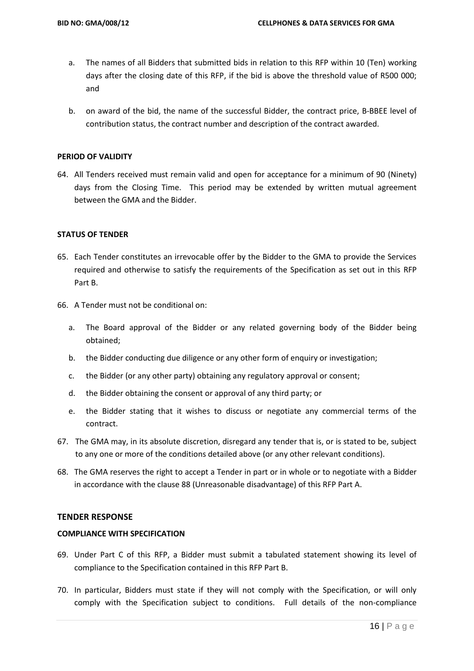- a. The names of all Bidders that submitted bids in relation to this RFP within 10 (Ten) working days after the closing date of this RFP, if the bid is above the threshold value of R500 000; and
- b. on award of the bid, the name of the successful Bidder, the contract price, B-BBEE level of contribution status, the contract number and description of the contract awarded.

### **PERIOD OF VALIDITY**

64. All Tenders received must remain valid and open for acceptance for a minimum of 90 (Ninety) days from the Closing Time. This period may be extended by written mutual agreement between the GMA and the Bidder.

### **STATUS OF TENDER**

- 65. Each Tender constitutes an irrevocable offer by the Bidder to the GMA to provide the Services required and otherwise to satisfy the requirements of the Specification as set out in this RFP Part B.
- 66. A Tender must not be conditional on:
	- a. The Board approval of the Bidder or any related governing body of the Bidder being obtained;
	- b. the Bidder conducting due diligence or any other form of enquiry or investigation;
	- c. the Bidder (or any other party) obtaining any regulatory approval or consent;
	- d. the Bidder obtaining the consent or approval of any third party; or
	- e. the Bidder stating that it wishes to discuss or negotiate any commercial terms of the contract.
- 67. The GMA may, in its absolute discretion, disregard any tender that is, or is stated to be, subject to any one or more of the conditions detailed above (or any other relevant conditions).
- 68. The GMA reserves the right to accept a Tender in part or in whole or to negotiate with a Bidder in accordance with the clause 88 (Unreasonable disadvantage) of this RFP Part A.

### **TENDER RESPONSE**

### **COMPLIANCE WITH SPECIFICATION**

- 69. Under Part C of this RFP, a Bidder must submit a tabulated statement showing its level of compliance to the Specification contained in this RFP Part B.
- 70. In particular, Bidders must state if they will not comply with the Specification, or will only comply with the Specification subject to conditions. Full details of the non-compliance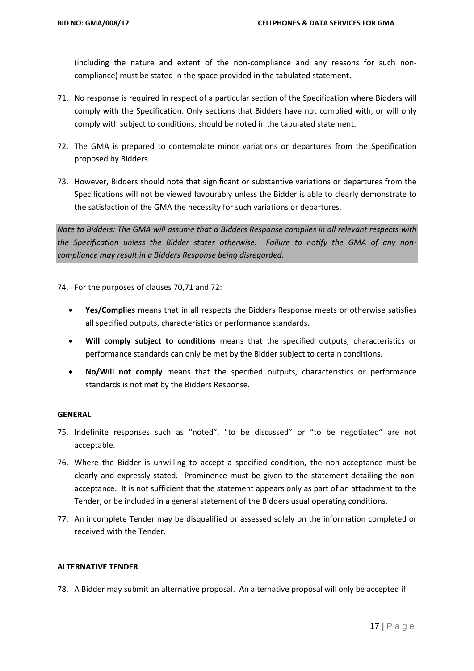(including the nature and extent of the non-compliance and any reasons for such noncompliance) must be stated in the space provided in the tabulated statement.

- 71. No response is required in respect of a particular section of the Specification where Bidders will comply with the Specification. Only sections that Bidders have not complied with, or will only comply with subject to conditions, should be noted in the tabulated statement.
- 72. The GMA is prepared to contemplate minor variations or departures from the Specification proposed by Bidders.
- 73. However, Bidders should note that significant or substantive variations or departures from the Specifications will not be viewed favourably unless the Bidder is able to clearly demonstrate to the satisfaction of the GMA the necessity for such variations or departures.

*Note to Bidders: The GMA will assume that a Bidders Response complies in all relevant respects with the Specification unless the Bidder states otherwise. Failure to notify the GMA of any noncompliance may result in a Bidders Response being disregarded.*

74. For the purposes of clauses 70,71 and 72:

- **Yes/Complies** means that in all respects the Bidders Response meets or otherwise satisfies all specified outputs, characteristics or performance standards.
- **Will comply subject to conditions** means that the specified outputs, characteristics or performance standards can only be met by the Bidder subject to certain conditions.
- **No/Will not comply** means that the specified outputs, characteristics or performance standards is not met by the Bidders Response.

### **GENERAL**

- 75. Indefinite responses such as "noted", "to be discussed" or "to be negotiated" are not acceptable.
- 76. Where the Bidder is unwilling to accept a specified condition, the non-acceptance must be clearly and expressly stated. Prominence must be given to the statement detailing the nonacceptance. It is not sufficient that the statement appears only as part of an attachment to the Tender, or be included in a general statement of the Bidders usual operating conditions.
- 77. An incomplete Tender may be disqualified or assessed solely on the information completed or received with the Tender.

## **ALTERNATIVE TENDER**

78. A Bidder may submit an alternative proposal. An alternative proposal will only be accepted if: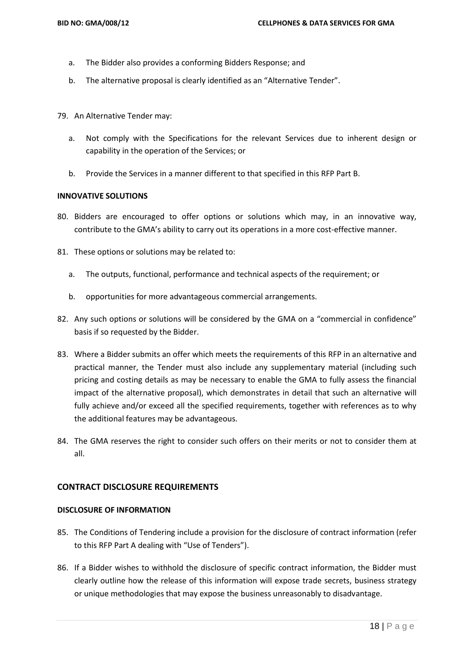- a. The Bidder also provides a conforming Bidders Response; and
- b. The alternative proposal is clearly identified as an "Alternative Tender".
- 79. An Alternative Tender may:
	- a. Not comply with the Specifications for the relevant Services due to inherent design or capability in the operation of the Services; or
	- b. Provide the Services in a manner different to that specified in this RFP Part B.

### **INNOVATIVE SOLUTIONS**

- 80. Bidders are encouraged to offer options or solutions which may, in an innovative way, contribute to the GMA's ability to carry out its operations in a more cost-effective manner.
- 81. These options or solutions may be related to:
	- a. The outputs, functional, performance and technical aspects of the requirement; or
	- b. opportunities for more advantageous commercial arrangements.
- 82. Any such options or solutions will be considered by the GMA on a "commercial in confidence" basis if so requested by the Bidder.
- 83. Where a Bidder submits an offer which meets the requirements of this RFP in an alternative and practical manner, the Tender must also include any supplementary material (including such pricing and costing details as may be necessary to enable the GMA to fully assess the financial impact of the alternative proposal), which demonstrates in detail that such an alternative will fully achieve and/or exceed all the specified requirements, together with references as to why the additional features may be advantageous.
- 84. The GMA reserves the right to consider such offers on their merits or not to consider them at all.

## **CONTRACT DISCLOSURE REQUIREMENTS**

### **DISCLOSURE OF INFORMATION**

- 85. The Conditions of Tendering include a provision for the disclosure of contract information (refer to this RFP Part A dealing with "Use of Tenders").
- 86. If a Bidder wishes to withhold the disclosure of specific contract information, the Bidder must clearly outline how the release of this information will expose trade secrets, business strategy or unique methodologies that may expose the business unreasonably to disadvantage.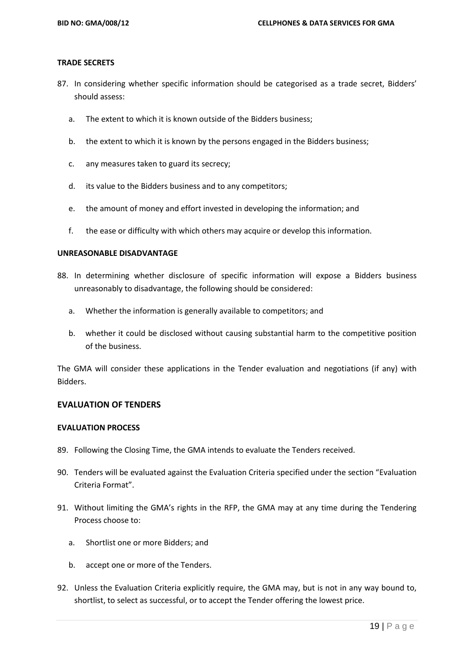### **TRADE SECRETS**

- 87. In considering whether specific information should be categorised as a trade secret, Bidders' should assess:
	- a. The extent to which it is known outside of the Bidders business;
	- b. the extent to which it is known by the persons engaged in the Bidders business;
	- c. any measures taken to guard its secrecy;
	- d. its value to the Bidders business and to any competitors;
	- e. the amount of money and effort invested in developing the information; and
	- f. the ease or difficulty with which others may acquire or develop this information.

### **UNREASONABLE DISADVANTAGE**

- 88. In determining whether disclosure of specific information will expose a Bidders business unreasonably to disadvantage, the following should be considered:
	- a. Whether the information is generally available to competitors; and
	- b. whether it could be disclosed without causing substantial harm to the competitive position of the business.

The GMA will consider these applications in the Tender evaluation and negotiations (if any) with Bidders.

## **EVALUATION OF TENDERS**

### **EVALUATION PROCESS**

- 89. Following the Closing Time, the GMA intends to evaluate the Tenders received.
- 90. Tenders will be evaluated against the Evaluation Criteria specified under the section "Evaluation Criteria Format".
- 91. Without limiting the GMA's rights in the RFP, the GMA may at any time during the Tendering Process choose to:
	- a. Shortlist one or more Bidders; and
	- b. accept one or more of the Tenders.
- 92. Unless the Evaluation Criteria explicitly require, the GMA may, but is not in any way bound to, shortlist, to select as successful, or to accept the Tender offering the lowest price.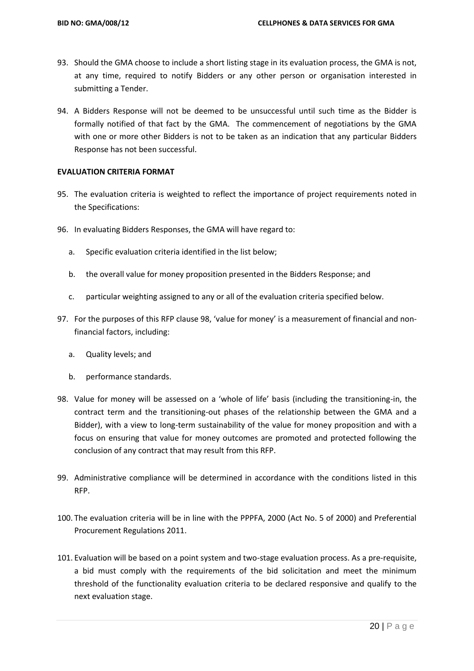- 93. Should the GMA choose to include a short listing stage in its evaluation process, the GMA is not, at any time, required to notify Bidders or any other person or organisation interested in submitting a Tender.
- 94. A Bidders Response will not be deemed to be unsuccessful until such time as the Bidder is formally notified of that fact by the GMA. The commencement of negotiations by the GMA with one or more other Bidders is not to be taken as an indication that any particular Bidders Response has not been successful.

### **EVALUATION CRITERIA FORMAT**

- 95. The evaluation criteria is weighted to reflect the importance of project requirements noted in the Specifications:
- 96. In evaluating Bidders Responses, the GMA will have regard to:
	- a. Specific evaluation criteria identified in the list below;
	- b. the overall value for money proposition presented in the Bidders Response; and
	- c. particular weighting assigned to any or all of the evaluation criteria specified below.
- 97. For the purposes of this RFP clause 98, 'value for money' is a measurement of financial and nonfinancial factors, including:
	- a. Quality levels; and
	- b. performance standards.
- 98. Value for money will be assessed on a 'whole of life' basis (including the transitioning-in, the contract term and the transitioning-out phases of the relationship between the GMA and a Bidder), with a view to long-term sustainability of the value for money proposition and with a focus on ensuring that value for money outcomes are promoted and protected following the conclusion of any contract that may result from this RFP.
- 99. Administrative compliance will be determined in accordance with the conditions listed in this RFP.
- 100. The evaluation criteria will be in line with the PPPFA, 2000 (Act No. 5 of 2000) and Preferential Procurement Regulations 2011.
- 101. Evaluation will be based on a point system and two-stage evaluation process. As a pre-requisite, a bid must comply with the requirements of the bid solicitation and meet the minimum threshold of the functionality evaluation criteria to be declared responsive and qualify to the next evaluation stage.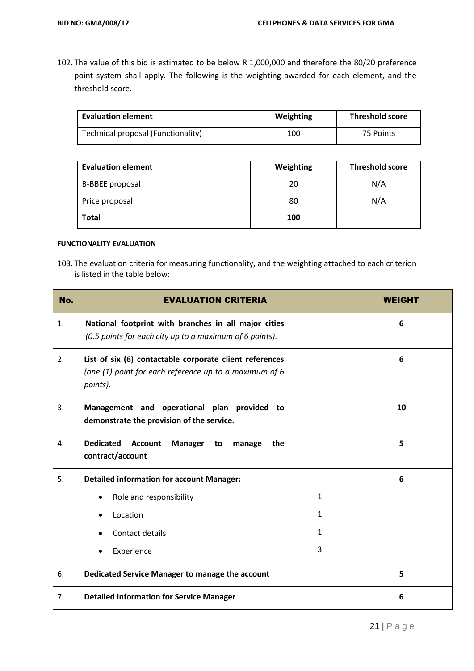102. The value of this bid is estimated to be below R 1,000,000 and therefore the 80/20 preference point system shall apply. The following is the weighting awarded for each element, and the threshold score.

| <b>Evaluation element</b>          | Weighting | <b>Threshold score</b> |
|------------------------------------|-----------|------------------------|
| Technical proposal (Functionality) | 100       | 75 Points              |

| <b>Evaluation element</b> | Weighting | <b>Threshold score</b> |
|---------------------------|-----------|------------------------|
| <b>B-BBEE proposal</b>    | 20        | N/A                    |
| Price proposal            | 80        | N/A                    |
| <b>Total</b>              | 100       |                        |

### **FUNCTIONALITY EVALUATION**

103. The evaluation criteria for measuring functionality, and the weighting attached to each criterion is listed in the table below:

| No.            | <b>EVALUATION CRITERIA</b>                                                                                                      |   | WEIGHT |
|----------------|---------------------------------------------------------------------------------------------------------------------------------|---|--------|
| 1.             | National footprint with branches in all major cities<br>(0.5 points for each city up to a maximum of 6 points).                 |   | 6      |
| 2.             | List of six (6) contactable corporate client references<br>(one $(1)$ point for each reference up to a maximum of 6<br>points). |   | 6      |
| 3.             | Management and operational plan provided to<br>demonstrate the provision of the service.                                        |   | 10     |
| $\mathbf{4}$ . | <b>Dedicated</b><br><b>Account</b><br>Manager<br>the<br>to<br>manage<br>contract/account                                        |   | 5      |
| 5.             | <b>Detailed information for account Manager:</b>                                                                                |   | 6      |
|                | Role and responsibility                                                                                                         | 1 |        |
|                | Location                                                                                                                        | 1 |        |
|                | Contact details                                                                                                                 | 1 |        |
|                | Experience                                                                                                                      | 3 |        |
| 6.             | Dedicated Service Manager to manage the account                                                                                 |   | 5      |
| 7.             | <b>Detailed information for Service Manager</b>                                                                                 |   | 6      |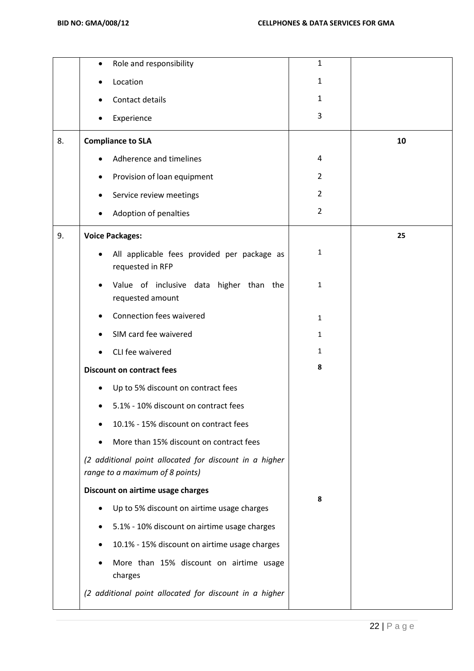|    | Role and responsibility<br>$\bullet$                                                      | 1              |    |
|----|-------------------------------------------------------------------------------------------|----------------|----|
|    | Location                                                                                  | $\mathbf{1}$   |    |
|    | Contact details                                                                           | 1              |    |
|    | Experience                                                                                | 3              |    |
| 8. | <b>Compliance to SLA</b>                                                                  |                | 10 |
|    | Adherence and timelines                                                                   | 4              |    |
|    | Provision of loan equipment<br>$\bullet$                                                  | 2              |    |
|    | Service review meetings                                                                   | $\overline{2}$ |    |
|    | Adoption of penalties                                                                     | $\overline{2}$ |    |
| 9. | <b>Voice Packages:</b>                                                                    |                | 25 |
|    | All applicable fees provided per package as<br>$\bullet$<br>requested in RFP              | 1              |    |
|    | Value of inclusive data higher than the<br>requested amount                               | 1              |    |
|    | Connection fees waivered                                                                  | $\mathbf{1}$   |    |
|    | SIM card fee waivered                                                                     | 1              |    |
|    | CLI fee waivered                                                                          | 1              |    |
|    | <b>Discount on contract fees</b>                                                          | 8              |    |
|    | Up to 5% discount on contract fees<br>$\bullet$                                           |                |    |
|    | 5.1% - 10% discount on contract fees                                                      |                |    |
|    | 10.1% - 15% discount on contract fees                                                     |                |    |
|    | More than 15% discount on contract fees                                                   |                |    |
|    | (2 additional point allocated for discount in a higher<br>range to a maximum of 8 points) |                |    |
|    | Discount on airtime usage charges                                                         | 8              |    |
|    | Up to 5% discount on airtime usage charges                                                |                |    |
|    | 5.1% - 10% discount on airtime usage charges<br>٠                                         |                |    |
|    | 10.1% - 15% discount on airtime usage charges                                             |                |    |
|    | More than 15% discount on airtime usage<br>charges                                        |                |    |
|    | (2 additional point allocated for discount in a higher                                    |                |    |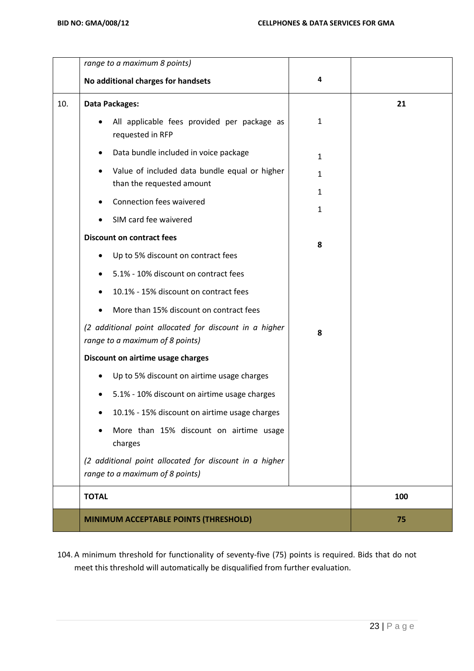|     | range to a maximum 8 points)                                                              |              |     |
|-----|-------------------------------------------------------------------------------------------|--------------|-----|
|     | No additional charges for handsets                                                        | 4            |     |
| 10. | Data Packages:                                                                            |              | 21  |
|     | All applicable fees provided per package as<br>requested in RFP                           | $\mathbf{1}$ |     |
|     | Data bundle included in voice package<br>$\bullet$                                        | 1            |     |
|     | Value of included data bundle equal or higher<br>than the requested amount                | $\mathbf{1}$ |     |
|     | Connection fees waivered                                                                  | 1<br>1       |     |
|     | SIM card fee waivered                                                                     |              |     |
|     | <b>Discount on contract fees</b>                                                          | 8            |     |
|     | Up to 5% discount on contract fees                                                        |              |     |
|     | 5.1% - 10% discount on contract fees                                                      |              |     |
|     | 10.1% - 15% discount on contract fees                                                     |              |     |
|     | More than 15% discount on contract fees                                                   |              |     |
|     | (2 additional point allocated for discount in a higher<br>range to a maximum of 8 points) | 8            |     |
|     | Discount on airtime usage charges                                                         |              |     |
|     | Up to 5% discount on airtime usage charges                                                |              |     |
|     | 5.1% - 10% discount on airtime usage charges                                              |              |     |
|     | 10.1% - 15% discount on airtime usage charges                                             |              |     |
|     | More than 15% discount on airtime usage<br>charges                                        |              |     |
|     | (2 additional point allocated for discount in a higher<br>range to a maximum of 8 points) |              |     |
|     | <b>TOTAL</b>                                                                              |              | 100 |
|     | MINIMUM ACCEPTABLE POINTS (THRESHOLD)                                                     |              | 75  |

104. A minimum threshold for functionality of seventy-five (75) points is required. Bids that do not meet this threshold will automatically be disqualified from further evaluation.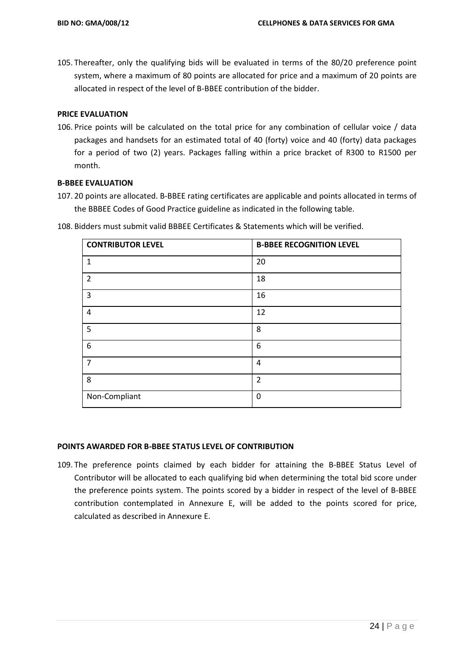105. Thereafter, only the qualifying bids will be evaluated in terms of the 80/20 preference point system, where a maximum of 80 points are allocated for price and a maximum of 20 points are allocated in respect of the level of B-BBEE contribution of the bidder.

# **PRICE EVALUATION**

106. Price points will be calculated on the total price for any combination of cellular voice / data packages and handsets for an estimated total of 40 (forty) voice and 40 (forty) data packages for a period of two (2) years. Packages falling within a price bracket of R300 to R1500 per month.

# **B-BBEE EVALUATION**

107. 20 points are allocated. B-BBEE rating certificates are applicable and points allocated in terms of the BBBEE Codes of Good Practice guideline as indicated in the following table.

| <b>CONTRIBUTOR LEVEL</b> | <b>B-BBEE RECOGNITION LEVEL</b> |
|--------------------------|---------------------------------|
| $\mathbf{1}$             | 20                              |
| $\overline{2}$           | 18                              |
| 3                        | 16                              |
| $\overline{4}$           | 12                              |
| 5                        | 8                               |
| 6                        | 6                               |
| $\overline{7}$           | 4                               |
| 8                        | $\overline{2}$                  |
| Non-Compliant            | 0                               |

108. Bidders must submit valid BBBEE Certificates & Statements which will be verified.

## **POINTS AWARDED FOR B-BBEE STATUS LEVEL OF CONTRIBUTION**

109. The preference points claimed by each bidder for attaining the B-BBEE Status Level of Contributor will be allocated to each qualifying bid when determining the total bid score under the preference points system. The points scored by a bidder in respect of the level of B-BBEE contribution contemplated in Annexure E, will be added to the points scored for price, calculated as described in Annexure E.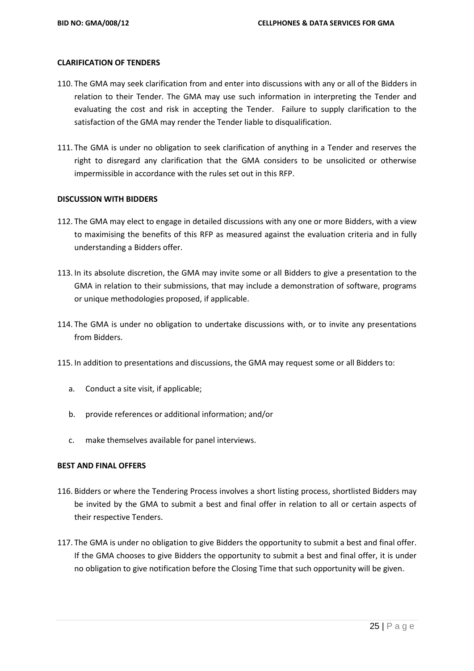### **CLARIFICATION OF TENDERS**

- 110. The GMA may seek clarification from and enter into discussions with any or all of the Bidders in relation to their Tender. The GMA may use such information in interpreting the Tender and evaluating the cost and risk in accepting the Tender. Failure to supply clarification to the satisfaction of the GMA may render the Tender liable to disqualification.
- 111. The GMA is under no obligation to seek clarification of anything in a Tender and reserves the right to disregard any clarification that the GMA considers to be unsolicited or otherwise impermissible in accordance with the rules set out in this RFP.

### **DISCUSSION WITH BIDDERS**

- 112. The GMA may elect to engage in detailed discussions with any one or more Bidders, with a view to maximising the benefits of this RFP as measured against the evaluation criteria and in fully understanding a Bidders offer.
- 113. In its absolute discretion, the GMA may invite some or all Bidders to give a presentation to the GMA in relation to their submissions, that may include a demonstration of software, programs or unique methodologies proposed, if applicable.
- 114. The GMA is under no obligation to undertake discussions with, or to invite any presentations from Bidders.
- 115. In addition to presentations and discussions, the GMA may request some or all Bidders to:
	- a. Conduct a site visit, if applicable;
	- b. provide references or additional information; and/or
	- c. make themselves available for panel interviews.

### **BEST AND FINAL OFFERS**

- 116. Bidders or where the Tendering Process involves a short listing process, shortlisted Bidders may be invited by the GMA to submit a best and final offer in relation to all or certain aspects of their respective Tenders.
- 117. The GMA is under no obligation to give Bidders the opportunity to submit a best and final offer. If the GMA chooses to give Bidders the opportunity to submit a best and final offer, it is under no obligation to give notification before the Closing Time that such opportunity will be given.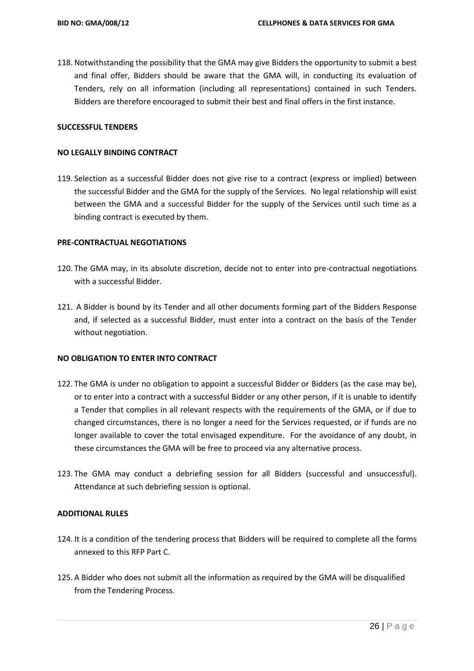118. Notwithstanding the possibility that the GMA may give Bidders the opportunity to submit a best and final offer, Bidders should be aware that the GMA will, in conducting its evaluation of Tenders, rely on all information (including all representations) contained in such Tenders. Bidders are therefore encouraged to submit their best and final offers in the first instance.

### **SUCCESSFUL TENDERS**

### **NO LEGALLY BINDING CONTRACT**

119. Selection as a successful Bidder does not give rise to a contract (express or implied) between the successful Bidder and the GMA for the supply of the Services. No legal relationship will exist between the GMA and a successful Bidder for the supply of the Services until such time as a binding contract is executed by them.

### **PRE-CONTRACTUAL NEGOTIATIONS**

- 120. The GMA may, in its absolute discretion, decide not to enter into pre-contractual negotiations with a successful Bidder.
- 121. A Bidder is bound by its Tender and all other documents forming part of the Bidders Response and, if selected as a successful Bidder, must enter into a contract on the basis of the Tender without negotiation.

## **NO OBLIGATION TO ENTER INTO CONTRACT**

- 122. The GMA is under no obligation to appoint a successful Bidder or Bidders (as the case may be), or to enter into a contract with a successful Bidder or any other person, if it is unable to identify a Tender that complies in all relevant respects with the requirements of the GMA, or if due to changed circumstances, there is no longer a need for the Services requested, or if funds are no longer available to cover the total envisaged expenditure. For the avoidance of any doubt, in these circumstances the GMA will be free to proceed via any alternative process.
- 123. The GMA may conduct a debriefing session for all Bidders (successful and unsuccessful). Attendance at such debriefing session is optional.

# **ADDITIONAL RULES**

- 124. It is a condition of the tendering process that Bidders will be required to complete all the forms annexed to this RFP Part C.
- 125. A Bidder who does not submit all the information as required by the GMA will be disqualified from the Tendering Process.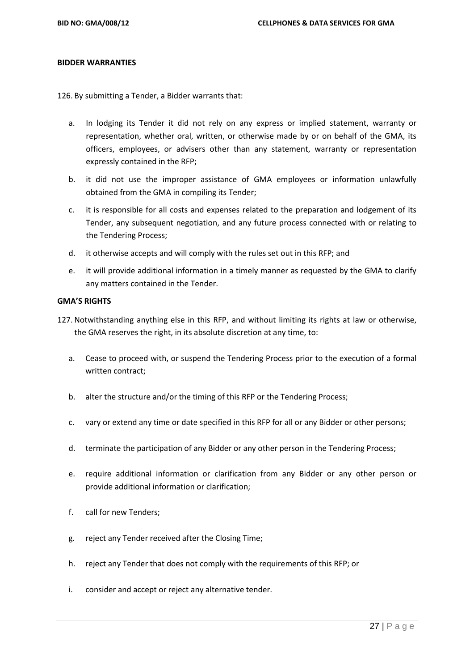### **BIDDER WARRANTIES**

126. By submitting a Tender, a Bidder warrants that:

- a. In lodging its Tender it did not rely on any express or implied statement, warranty or representation, whether oral, written, or otherwise made by or on behalf of the GMA, its officers, employees, or advisers other than any statement, warranty or representation expressly contained in the RFP;
- b. it did not use the improper assistance of GMA employees or information unlawfully obtained from the GMA in compiling its Tender;
- c. it is responsible for all costs and expenses related to the preparation and lodgement of its Tender, any subsequent negotiation, and any future process connected with or relating to the Tendering Process;
- d. it otherwise accepts and will comply with the rules set out in this RFP; and
- e. it will provide additional information in a timely manner as requested by the GMA to clarify any matters contained in the Tender.

### **GMA'S RIGHTS**

- 127. Notwithstanding anything else in this RFP, and without limiting its rights at law or otherwise, the GMA reserves the right, in its absolute discretion at any time, to:
	- a. Cease to proceed with, or suspend the Tendering Process prior to the execution of a formal written contract;
	- b. alter the structure and/or the timing of this RFP or the Tendering Process;
	- c. vary or extend any time or date specified in this RFP for all or any Bidder or other persons;
	- d. terminate the participation of any Bidder or any other person in the Tendering Process;
	- e. require additional information or clarification from any Bidder or any other person or provide additional information or clarification;
	- f. call for new Tenders;
	- g. reject any Tender received after the Closing Time;
	- h. reject any Tender that does not comply with the requirements of this RFP; or
	- i. consider and accept or reject any alternative tender.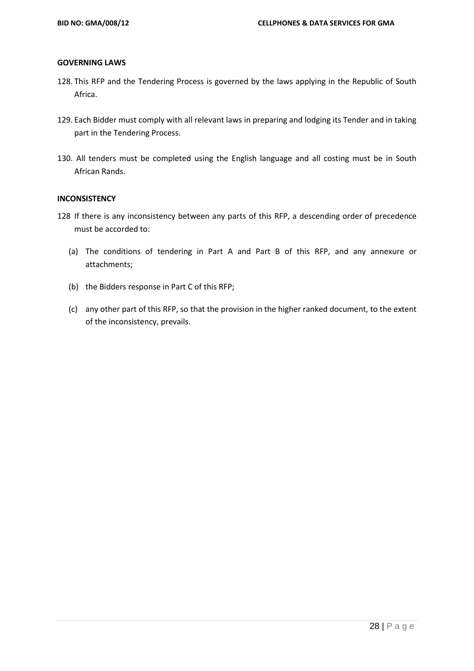### **GOVERNING LAWS**

- 128. This RFP and the Tendering Process is governed by the laws applying in the Republic of South Africa.
- 129. Each Bidder must comply with all relevant laws in preparing and lodging its Tender and in taking part in the Tendering Process.
- 130. All tenders must be completed using the English language and all costing must be in South African Rands.

# **INCONSISTENCY**

- 128 If there is any inconsistency between any parts of this RFP, a descending order of precedence must be accorded to:
	- (a) The conditions of tendering in Part A and Part B of this RFP, and any annexure or attachments;
	- (b) the Bidders response in Part C of this RFP;
	- (c) any other part of this RFP, so that the provision in the higher ranked document, to the extent of the inconsistency, prevails.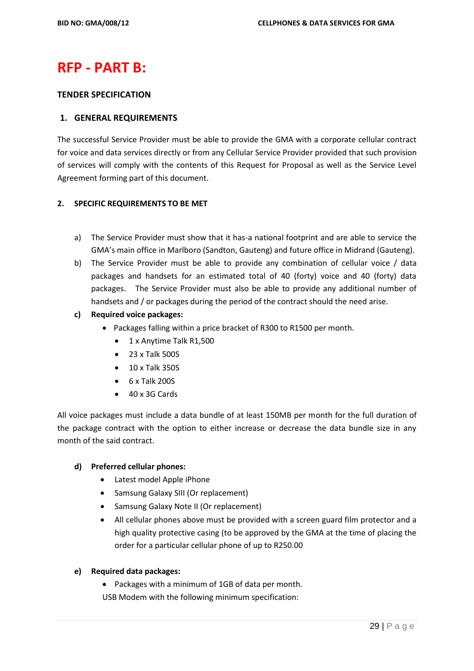# **RFP - PART B:**

## **TENDER SPECIFICATION**

# **1. GENERAL REQUIREMENTS**

The successful Service Provider must be able to provide the GMA with a corporate cellular contract for voice and data services directly or from any Cellular Service Provider provided that such provision of services will comply with the contents of this Request for Proposal as well as the Service Level Agreement forming part of this document.

# **2. SPECIFIC REQUIREMENTS TO BE MET**

- a) The Service Provider must show that it has-a national footprint and are able to service the GMA's main office in Marlboro (Sandton, Gauteng) and future office in Midrand (Gauteng).
- b) The Service Provider must be able to provide any combination of cellular voice / data packages and handsets for an estimated total of 40 (forty) voice and 40 (forty) data packages. The Service Provider must also be able to provide any additional number of handsets and / or packages during the period of the contract should the need arise.
- **c) Required voice packages:**
	- Packages falling within a price bracket of R300 to R1500 per month.
		- 1 x Anytime Talk R1,500
		- 23 x Talk 500S
		- 10 x Talk 350S
		- $6 \times$  Talk 2005
		- 40 x 3G Cards

All voice packages must include a data bundle of at least 150MB per month for the full duration of the package contract with the option to either increase or decrease the data bundle size in any month of the said contract.

## **d) Preferred cellular phones:**

- Latest model Apple iPhone
- Samsung Galaxy SIII (Or replacement)
- Samsung Galaxy Note II (Or replacement)
- All cellular phones above must be provided with a screen guard film protector and a high quality protective casing (to be approved by the GMA at the time of placing the order for a particular cellular phone of up to R250.00

## **e) Required data packages:**

- Packages with a minimum of 1GB of data per month.
- USB Modem with the following minimum specification: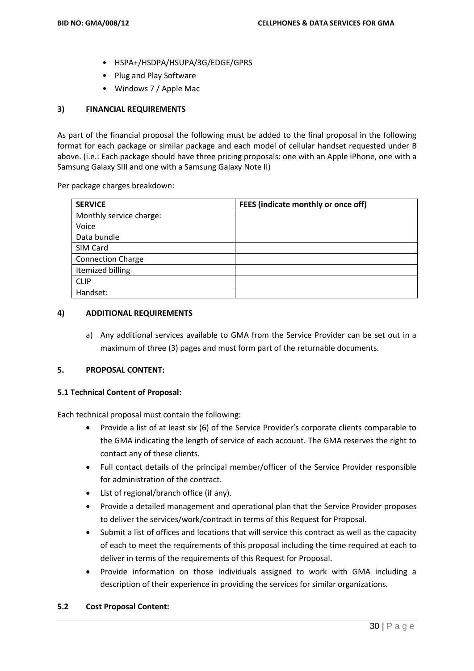- HSPA+/HSDPA/HSUPA/3G/EDGE/GPRS
- Plug and Play Software
- Windows 7 / Apple Mac

# **3) FINANCIAL REQUIREMENTS**

As part of the financial proposal the following must be added to the final proposal in the following format for each package or similar package and each model of cellular handset requested under B above. (i.e.: Each package should have three pricing proposals: one with an Apple iPhone, one with a Samsung Galaxy SIII and one with a Samsung Galaxy Note II)

Per package charges breakdown:

| <b>SERVICE</b>           | FEES (indicate monthly or once off) |
|--------------------------|-------------------------------------|
| Monthly service charge:  |                                     |
| Voice                    |                                     |
| Data bundle              |                                     |
| SIM Card                 |                                     |
| <b>Connection Charge</b> |                                     |
| Itemized billing         |                                     |
| <b>CLIP</b>              |                                     |
| Handset:                 |                                     |

### **4) ADDITIONAL REQUIREMENTS**

a) Any additional services available to GMA from the Service Provider can be set out in a maximum of three (3) pages and must form part of the returnable documents.

# **5. PROPOSAL CONTENT:**

## **5.1 Technical Content of Proposal:**

Each technical proposal must contain the following:

- Provide a list of at least six (6) of the Service Provider's corporate clients comparable to the GMA indicating the length of service of each account. The GMA reserves the right to contact any of these clients.
- Full contact details of the principal member/officer of the Service Provider responsible for administration of the contract.
- List of regional/branch office (if any).
- Provide a detailed management and operational plan that the Service Provider proposes to deliver the services/work/contract in terms of this Request for Proposal.
- Submit a list of offices and locations that will service this contract as well as the capacity of each to meet the requirements of this proposal including the time required at each to deliver in terms of the requirements of this Request for Proposal.
- Provide information on those individuals assigned to work with GMA including a description of their experience in providing the services for similar organizations.

## **5.2 Cost Proposal Content:**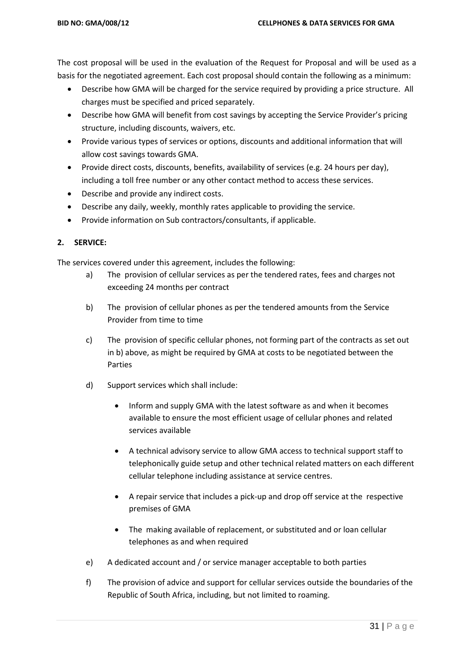The cost proposal will be used in the evaluation of the Request for Proposal and will be used as a basis for the negotiated agreement. Each cost proposal should contain the following as a minimum:

- Describe how GMA will be charged for the service required by providing a price structure. All charges must be specified and priced separately.
- Describe how GMA will benefit from cost savings by accepting the Service Provider's pricing structure, including discounts, waivers, etc.
- Provide various types of services or options, discounts and additional information that will allow cost savings towards GMA.
- Provide direct costs, discounts, benefits, availability of services (e.g. 24 hours per day), including a toll free number or any other contact method to access these services.
- Describe and provide any indirect costs.
- Describe any daily, weekly, monthly rates applicable to providing the service.
- Provide information on Sub contractors/consultants, if applicable.

# **2. SERVICE:**

The services covered under this agreement, includes the following:

- a) The provision of cellular services as per the tendered rates, fees and charges not exceeding 24 months per contract
- b) The provision of cellular phones as per the tendered amounts from the Service Provider from time to time
- c) The provision of specific cellular phones, not forming part of the contracts as set out in b) above, as might be required by GMA at costs to be negotiated between the Parties
- d) Support services which shall include:
	- Inform and supply GMA with the latest software as and when it becomes available to ensure the most efficient usage of cellular phones and related services available
	- A technical advisory service to allow GMA access to technical support staff to telephonically guide setup and other technical related matters on each different cellular telephone including assistance at service centres.
	- A repair service that includes a pick-up and drop off service at the respective premises of GMA
	- The making available of replacement, or substituted and or loan cellular telephones as and when required
- e) A dedicated account and / or service manager acceptable to both parties
- f) The provision of advice and support for cellular services outside the boundaries of the Republic of South Africa, including, but not limited to roaming.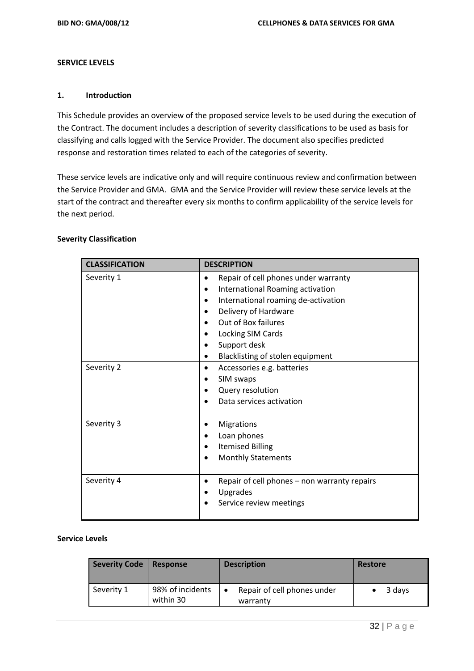### **SERVICE LEVELS**

## **1. Introduction**

This Schedule provides an overview of the proposed service levels to be used during the execution of the Contract. The document includes a description of severity classifications to be used as basis for classifying and calls logged with the Service Provider. The document also specifies predicted response and restoration times related to each of the categories of severity.

These service levels are indicative only and will require continuous review and confirmation between the Service Provider and GMA. GMA and the Service Provider will review these service levels at the start of the contract and thereafter every six months to confirm applicability of the service levels for the next period.

|  | <b>Severity Classification</b> |
|--|--------------------------------|
|--|--------------------------------|

| <b>CLASSIFICATION</b> | <b>DESCRIPTION</b>                                                                                                                                                                                                                      |
|-----------------------|-----------------------------------------------------------------------------------------------------------------------------------------------------------------------------------------------------------------------------------------|
| Severity 1            | Repair of cell phones under warranty<br>International Roaming activation<br>International roaming de-activation<br>Delivery of Hardware<br>Out of Box failures<br>Locking SIM Cards<br>Support desk<br>Blacklisting of stolen equipment |
| Severity 2            | Accessories e.g. batteries<br>SIM swaps<br>Query resolution<br>Data services activation                                                                                                                                                 |
| Severity 3            | Migrations<br>Loan phones<br><b>Itemised Billing</b><br><b>Monthly Statements</b>                                                                                                                                                       |
| Severity 4            | Repair of cell phones – non warranty repairs<br>Upgrades<br>Service review meetings                                                                                                                                                     |

### **Service Levels**

| <b>Severity Code</b> | <b>Response</b>               | <b>Description</b>                      | <b>Restore</b> |
|----------------------|-------------------------------|-----------------------------------------|----------------|
| Severity 1           | 98% of incidents<br>within 30 | Repair of cell phones under<br>warranty | 3 days         |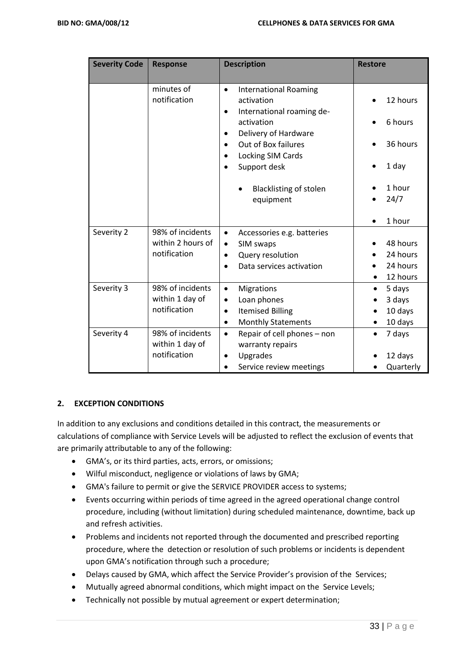| <b>Severity Code</b> | <b>Response</b>                     | <b>Description</b>                                                                                | <b>Restore</b>      |
|----------------------|-------------------------------------|---------------------------------------------------------------------------------------------------|---------------------|
|                      |                                     |                                                                                                   |                     |
|                      | minutes of<br>notification          | <b>International Roaming</b><br>$\bullet$<br>activation<br>International roaming de-<br>$\bullet$ | 12 hours            |
|                      |                                     | activation<br>Delivery of Hardware<br>$\bullet$                                                   | 6 hours             |
|                      |                                     | Out of Box failures<br>$\bullet$<br>Locking SIM Cards                                             | 36 hours            |
|                      |                                     | Support desk<br>$\bullet$                                                                         | 1 day               |
|                      |                                     | <b>Blacklisting of stolen</b><br>equipment                                                        | 1 hour<br>24/7      |
|                      |                                     |                                                                                                   | 1 hour              |
| Severity 2           | 98% of incidents                    | Accessories e.g. batteries<br>$\bullet$                                                           |                     |
|                      | within 2 hours of                   | SIM swaps<br>$\bullet$                                                                            | 48 hours            |
|                      | notification                        | Query resolution<br>$\bullet$                                                                     | 24 hours            |
|                      |                                     | Data services activation<br>$\bullet$                                                             | 24 hours            |
|                      |                                     |                                                                                                   | 12 hours            |
| Severity 3           | 98% of incidents                    | Migrations<br>$\bullet$                                                                           | 5 days              |
|                      | within 1 day of                     | Loan phones<br>$\bullet$                                                                          | 3 days              |
|                      | notification                        | <b>Itemised Billing</b><br>$\bullet$                                                              | 10 days             |
|                      |                                     | <b>Monthly Statements</b><br>٠                                                                    | 10 days             |
| Severity 4           | 98% of incidents<br>within 1 day of | Repair of cell phones - non<br>$\bullet$<br>warranty repairs                                      | 7 days<br>$\bullet$ |
|                      | notification                        | Upgrades<br>$\bullet$                                                                             | 12 days             |
|                      |                                     | Service review meetings<br>$\bullet$                                                              | Quarterly           |

## **2. EXCEPTION CONDITIONS**

In addition to any exclusions and conditions detailed in this contract, the measurements or calculations of compliance with Service Levels will be adjusted to reflect the exclusion of events that are primarily attributable to any of the following:

- GMA's, or its third parties, acts, errors, or omissions;
- Wilful misconduct, negligence or violations of laws by GMA;
- GMA's failure to permit or give the SERVICE PROVIDER access to systems;
- Events occurring within periods of time agreed in the agreed operational change control procedure, including (without limitation) during scheduled maintenance, downtime, back up and refresh activities.
- Problems and incidents not reported through the documented and prescribed reporting procedure, where the detection or resolution of such problems or incidents is dependent upon GMA's notification through such a procedure;
- Delays caused by GMA, which affect the Service Provider's provision of the Services;
- Mutually agreed abnormal conditions, which might impact on the Service Levels;
- Technically not possible by mutual agreement or expert determination;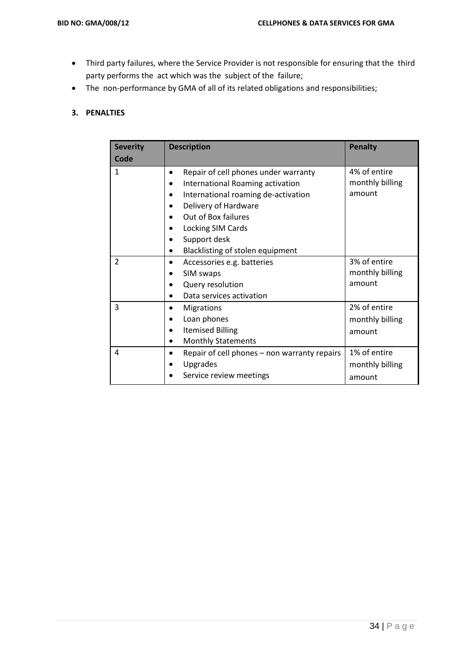- Third party failures, where the Service Provider is not responsible for ensuring that the third party performs the act which was the subject of the failure;
- The non-performance by GMA of all of its related obligations and responsibilities;

# **3. PENALTIES**

| <b>Severity</b> | <b>Description</b>                           | <b>Penalty</b>  |
|-----------------|----------------------------------------------|-----------------|
| Code            |                                              |                 |
| $\mathbf{1}$    | Repair of cell phones under warranty<br>٠    | 4% of entire    |
|                 | International Roaming activation             | monthly billing |
|                 | International roaming de-activation          | amount          |
|                 | Delivery of Hardware                         |                 |
|                 | Out of Box failures                          |                 |
|                 | Locking SIM Cards                            |                 |
|                 | Support desk                                 |                 |
|                 | Blacklisting of stolen equipment             |                 |
| $\overline{2}$  | Accessories e.g. batteries                   | 3% of entire    |
|                 | SIM swaps                                    | monthly billing |
|                 | Query resolution                             | amount          |
|                 | Data services activation                     |                 |
| 3               | <b>Migrations</b>                            | 2% of entire    |
|                 | Loan phones                                  | monthly billing |
|                 | <b>Itemised Billing</b>                      | amount          |
|                 | <b>Monthly Statements</b>                    |                 |
| 4               | Repair of cell phones - non warranty repairs | 1% of entire    |
|                 | Upgrades                                     | monthly billing |
|                 | Service review meetings                      | amount          |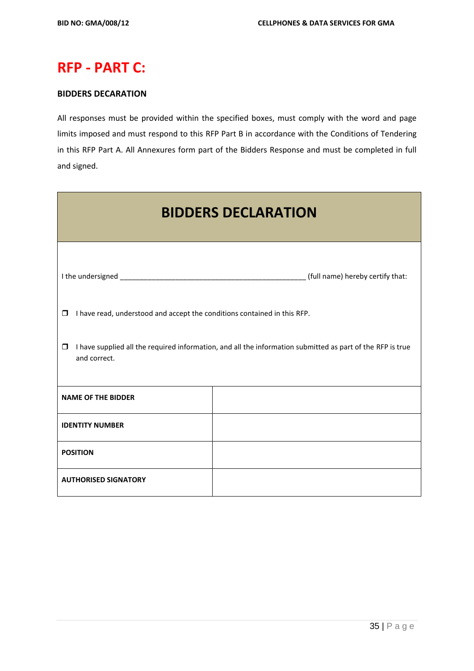# **RFP - PART C:**

# **BIDDERS DECARATION**

All responses must be provided within the specified boxes, must comply with the word and page limits imposed and must respond to this RFP Part B in accordance with the Conditions of Tendering in this RFP Part A. All Annexures form part of the Bidders Response and must be completed in full and signed.

| <b>BIDDERS DECLARATION</b>                                                                                                           |                                  |  |
|--------------------------------------------------------------------------------------------------------------------------------------|----------------------------------|--|
|                                                                                                                                      | (full name) hereby certify that: |  |
| I have read, understood and accept the conditions contained in this RFP.<br>$\Box$                                                   |                                  |  |
| I have supplied all the required information, and all the information submitted as part of the RFP is true<br>$\Box$<br>and correct. |                                  |  |
| <b>NAME OF THE BIDDER</b>                                                                                                            |                                  |  |
| <b>IDENTITY NUMBER</b>                                                                                                               |                                  |  |
| <b>POSITION</b>                                                                                                                      |                                  |  |
| <b>AUTHORISED SIGNATORY</b>                                                                                                          |                                  |  |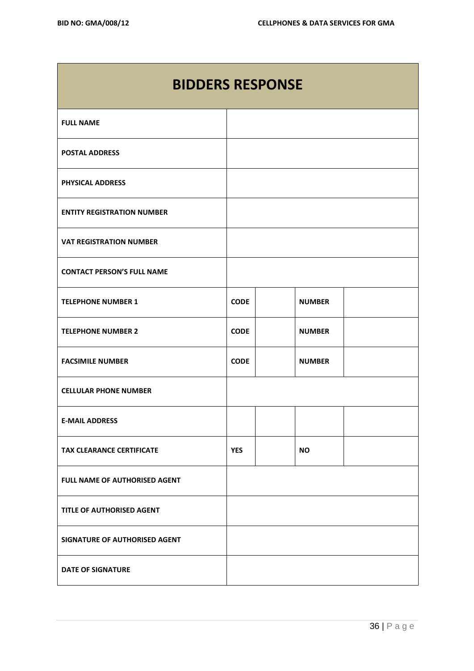| <b>BIDDERS RESPONSE</b>           |             |               |  |
|-----------------------------------|-------------|---------------|--|
| <b>FULL NAME</b>                  |             |               |  |
| <b>POSTAL ADDRESS</b>             |             |               |  |
| <b>PHYSICAL ADDRESS</b>           |             |               |  |
| <b>ENTITY REGISTRATION NUMBER</b> |             |               |  |
| <b>VAT REGISTRATION NUMBER</b>    |             |               |  |
| <b>CONTACT PERSON'S FULL NAME</b> |             |               |  |
| <b>TELEPHONE NUMBER 1</b>         | <b>CODE</b> | <b>NUMBER</b> |  |
| <b>TELEPHONE NUMBER 2</b>         | <b>CODE</b> | <b>NUMBER</b> |  |
| <b>FACSIMILE NUMBER</b>           | <b>CODE</b> | <b>NUMBER</b> |  |
| <b>CELLULAR PHONE NUMBER</b>      |             |               |  |
| <b>E-MAIL ADDRESS</b>             |             |               |  |
| <b>TAX CLEARANCE CERTIFICATE</b>  | <b>YES</b>  | <b>NO</b>     |  |
| FULL NAME OF AUTHORISED AGENT     |             |               |  |
| TITLE OF AUTHORISED AGENT         |             |               |  |
| SIGNATURE OF AUTHORISED AGENT     |             |               |  |
| <b>DATE OF SIGNATURE</b>          |             |               |  |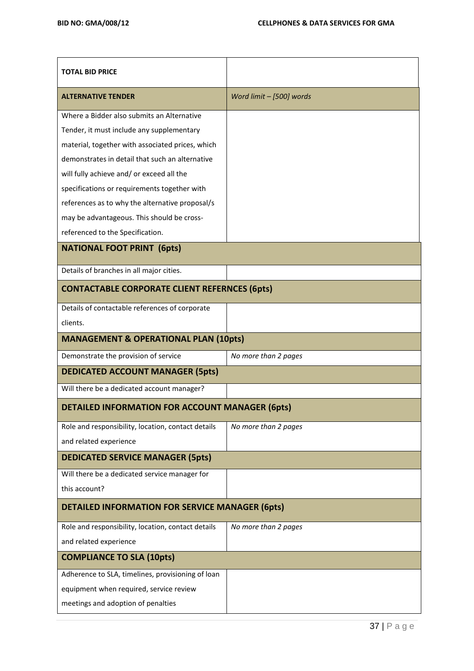| <b>TOTAL BID PRICE</b>                                 |                          |  |
|--------------------------------------------------------|--------------------------|--|
| <b>ALTERNATIVE TENDER</b>                              | Word limit - [500] words |  |
| Where a Bidder also submits an Alternative             |                          |  |
| Tender, it must include any supplementary              |                          |  |
| material, together with associated prices, which       |                          |  |
| demonstrates in detail that such an alternative        |                          |  |
| will fully achieve and/ or exceed all the              |                          |  |
| specifications or requirements together with           |                          |  |
| references as to why the alternative proposal/s        |                          |  |
| may be advantageous. This should be cross-             |                          |  |
| referenced to the Specification.                       |                          |  |
| <b>NATIONAL FOOT PRINT (6pts)</b>                      |                          |  |
| Details of branches in all major cities.               |                          |  |
| <b>CONTACTABLE CORPORATE CLIENT REFERNCES (6pts)</b>   |                          |  |
| Details of contactable references of corporate         |                          |  |
| clients.                                               |                          |  |
| <b>MANAGEMENT &amp; OPERATIONAL PLAN (10pts)</b>       |                          |  |
| Demonstrate the provision of service                   | No more than 2 pages     |  |
| <b>DEDICATED ACCOUNT MANAGER (5pts)</b>                |                          |  |
| Will there be a dedicated account manager?             |                          |  |
| <b>DETAILED INFORMATION FOR ACCOUNT MANAGER (6pts)</b> |                          |  |
| Role and responsibility, location, contact details     | No more than 2 pages     |  |
| and related experience                                 |                          |  |
| <b>DEDICATED SERVICE MANAGER (5pts)</b>                |                          |  |
| Will there be a dedicated service manager for          |                          |  |
| this account?                                          |                          |  |
| <b>DETAILED INFORMATION FOR SERVICE MANAGER (6pts)</b> |                          |  |
| Role and responsibility, location, contact details     | No more than 2 pages     |  |
| and related experience                                 |                          |  |
| <b>COMPLIANCE TO SLA (10pts)</b>                       |                          |  |
| Adherence to SLA, timelines, provisioning of loan      |                          |  |
| equipment when required, service review                |                          |  |
| meetings and adoption of penalties                     |                          |  |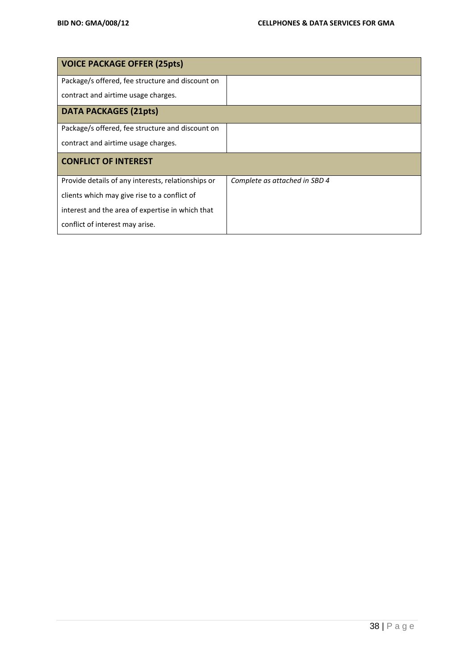| <b>VOICE PACKAGE OFFER (25pts)</b>                 |                               |
|----------------------------------------------------|-------------------------------|
| Package/s offered, fee structure and discount on   |                               |
| contract and airtime usage charges.                |                               |
| <b>DATA PACKAGES (21pts)</b>                       |                               |
| Package/s offered, fee structure and discount on   |                               |
| contract and airtime usage charges.                |                               |
| <b>CONFLICT OF INTEREST</b>                        |                               |
| Provide details of any interests, relationships or | Complete as attached in SBD 4 |
| clients which may give rise to a conflict of       |                               |
| interest and the area of expertise in which that   |                               |
| conflict of interest may arise.                    |                               |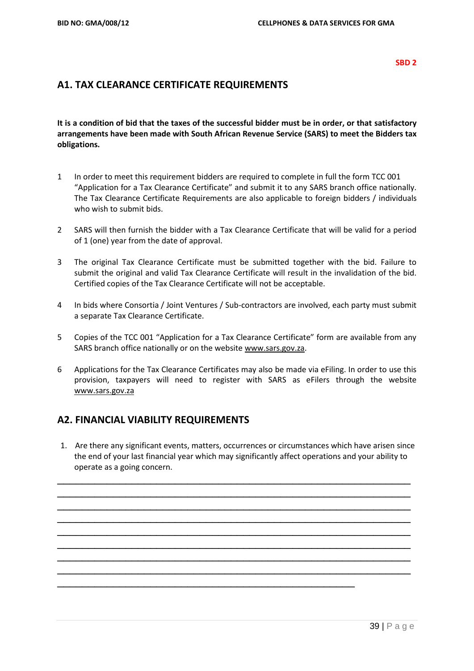#### **SBD 2**

# **A1. TAX CLEARANCE CERTIFICATE REQUIREMENTS**

**It is a condition of bid that the taxes of the successful bidder must be in order, or that satisfactory arrangements have been made with South African Revenue Service (SARS) to meet the Bidders tax obligations.**

- 1 In order to meet this requirement bidders are required to complete in full the form TCC 001 "Application for a Tax Clearance Certificate" and submit it to any SARS branch office nationally. The Tax Clearance Certificate Requirements are also applicable to foreign bidders / individuals who wish to submit bids.
- 2 SARS will then furnish the bidder with a Tax Clearance Certificate that will be valid for a period of 1 (one) year from the date of approval.
- 3 The original Tax Clearance Certificate must be submitted together with the bid. Failure to submit the original and valid Tax Clearance Certificate will result in the invalidation of the bid. Certified copies of the Tax Clearance Certificate will not be acceptable.
- 4 In bids where Consortia / Joint Ventures / Sub-contractors are involved, each party must submit a separate Tax Clearance Certificate.
- 5 Copies of the TCC 001 "Application for a Tax Clearance Certificate" form are available from any SARS branch office nationally or on the website [www.sars.gov.za.](http://www.sars.gov.za/)
- 6 Applications for the Tax Clearance Certificates may also be made via eFiling. In order to use this provision, taxpayers will need to register with SARS as eFilers through the website [www.sars.gov.za](http://www.sars.gov.za/)

# **A2. FINANCIAL VIABILITY REQUIREMENTS**

1. Are there any significant events, matters, occurrences or circumstances which have arisen since the end of your last financial year which may significantly affect operations and your ability to operate as a going concern.

\_\_\_\_\_\_\_\_\_\_\_\_\_\_\_\_\_\_\_\_\_\_\_\_\_\_\_\_\_\_\_\_\_\_\_\_\_\_\_\_\_\_\_\_\_\_\_\_\_\_\_\_\_\_\_\_\_ \_\_\_\_\_\_\_\_\_\_\_\_\_\_\_\_\_\_\_\_\_\_\_\_\_\_\_\_\_\_\_\_\_\_\_\_\_\_\_\_\_\_\_\_\_\_\_\_\_\_\_\_\_\_\_\_\_ \_\_\_\_\_\_\_\_\_\_\_\_\_\_\_\_\_\_\_\_\_\_\_\_\_\_\_\_\_\_\_\_\_\_\_\_\_\_\_\_\_\_\_\_\_\_\_\_\_\_\_\_\_\_\_\_\_ \_\_\_\_\_\_\_\_\_\_\_\_\_\_\_\_\_\_\_\_\_\_\_\_\_\_\_\_\_\_\_\_\_\_\_\_\_\_\_\_\_\_\_\_\_\_\_\_\_\_\_\_\_\_\_\_\_ \_\_\_\_\_\_\_\_\_\_\_\_\_\_\_\_\_\_\_\_\_\_\_\_\_\_\_\_\_\_\_\_\_\_\_\_\_\_\_\_\_\_\_\_\_\_\_\_\_\_\_\_\_\_\_\_\_ \_\_\_\_\_\_\_\_\_\_\_\_\_\_\_\_\_\_\_\_\_\_\_\_\_\_\_\_\_\_\_\_\_\_\_\_\_\_\_\_\_\_\_\_\_\_\_\_\_\_\_\_\_\_\_\_\_ \_\_\_\_\_\_\_\_\_\_\_\_\_\_\_\_\_\_\_\_\_\_\_\_\_\_\_\_\_\_\_\_\_\_\_\_\_\_\_\_\_\_\_\_\_\_\_\_\_\_\_\_\_\_\_\_\_ \_\_\_\_\_\_\_\_\_\_\_\_\_\_\_\_\_\_\_\_\_\_\_\_\_\_\_\_\_\_\_\_\_\_\_\_\_\_\_\_\_\_\_\_\_\_\_\_\_\_\_\_\_\_\_\_\_

\_\_\_\_\_\_\_\_\_\_\_\_\_\_\_\_\_\_\_\_\_\_\_\_\_\_\_\_\_\_\_\_\_\_\_\_\_\_\_\_\_\_\_\_\_\_\_\_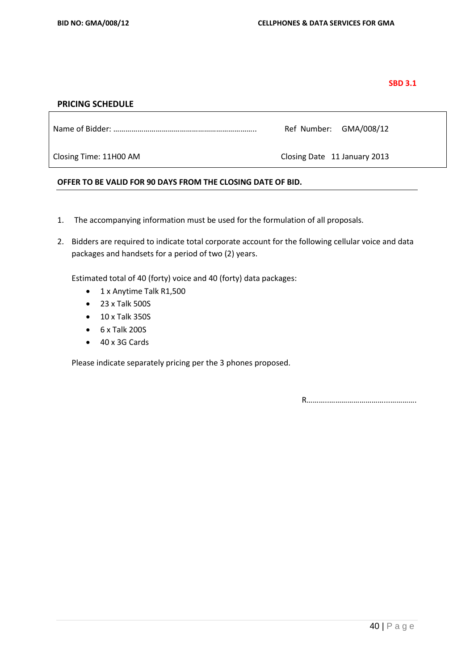### **SBD 3.1**

### **PRICING SCHEDULE**

| Ref Number: GMA/008/12 |
|------------------------|
|------------------------|

Closing Time: 11H00 AM Closing Date 11 January 2013

## **OFFER TO BE VALID FOR 90 DAYS FROM THE CLOSING DATE OF BID.**

- 1. The accompanying information must be used for the formulation of all proposals.
- 2. Bidders are required to indicate total corporate account for the following cellular voice and data packages and handsets for a period of two (2) years.

Estimated total of 40 (forty) voice and 40 (forty) data packages:

- 1 x Anytime Talk R1,500
- 23 x Talk 500S
- 10 x Talk 350S
- $6 \times$  Talk 200S
- 40 x 3G Cards

Please indicate separately pricing per the 3 phones proposed.

R………..………………………...………….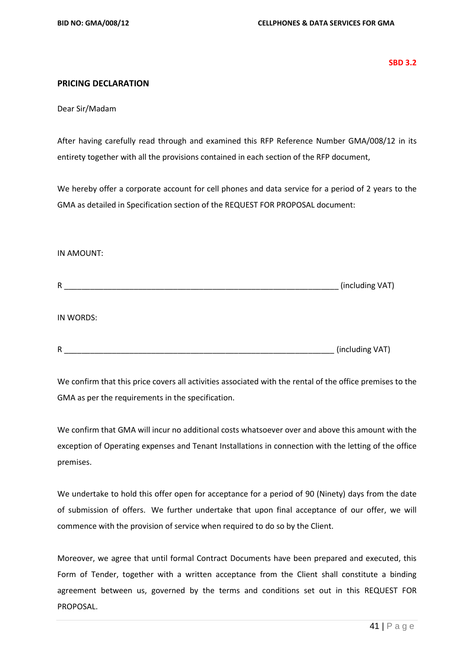**SBD 3.2**

# **PRICING DECLARATION**

Dear Sir/Madam

After having carefully read through and examined this RFP Reference Number GMA/008/12 in its entirety together with all the provisions contained in each section of the RFP document,

We hereby offer a corporate account for cell phones and data service for a period of 2 years to the GMA as detailed in Specification section of the REQUEST FOR PROPOSAL document:

### IN AMOUNT:

| R            | (including VAT) |
|--------------|-----------------|
|              |                 |
| IN WORDS:    |                 |
|              |                 |
| $\mathsf{R}$ | (including VAT) |

We confirm that this price covers all activities associated with the rental of the office premises to the GMA as per the requirements in the specification.

We confirm that GMA will incur no additional costs whatsoever over and above this amount with the exception of Operating expenses and Tenant Installations in connection with the letting of the office premises.

We undertake to hold this offer open for acceptance for a period of 90 (Ninety) days from the date of submission of offers. We further undertake that upon final acceptance of our offer, we will commence with the provision of service when required to do so by the Client.

Moreover, we agree that until formal Contract Documents have been prepared and executed, this Form of Tender, together with a written acceptance from the Client shall constitute a binding agreement between us, governed by the terms and conditions set out in this REQUEST FOR PROPOSAL.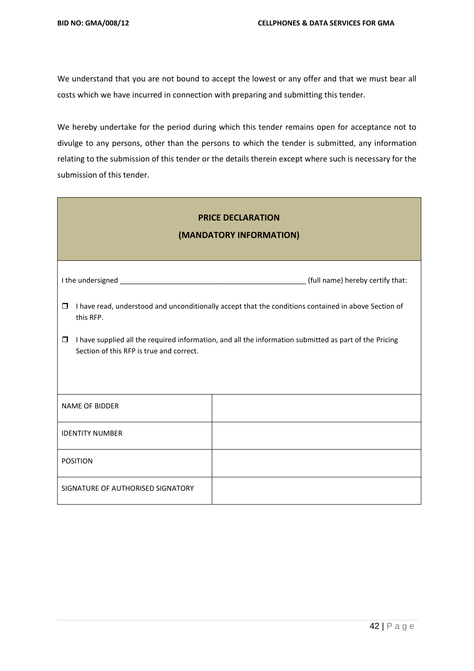We understand that you are not bound to accept the lowest or any offer and that we must bear all costs which we have incurred in connection with preparing and submitting this tender.

We hereby undertake for the period during which this tender remains open for acceptance not to divulge to any persons, other than the persons to which the tender is submitted, any information relating to the submission of this tender or the details therein except where such is necessary for the submission of this tender.

| <b>PRICE DECLARATION</b><br>(MANDATORY INFORMATION)                                                                                                                                                                                                                                         |  |  |  |  |  |  |  |
|---------------------------------------------------------------------------------------------------------------------------------------------------------------------------------------------------------------------------------------------------------------------------------------------|--|--|--|--|--|--|--|
|                                                                                                                                                                                                                                                                                             |  |  |  |  |  |  |  |
| I have read, understood and unconditionally accept that the conditions contained in above Section of<br>$\Box$<br>this RFP.<br>I have supplied all the required information, and all the information submitted as part of the Pricing<br>$\Box$<br>Section of this RFP is true and correct. |  |  |  |  |  |  |  |
| <b>NAME OF BIDDER</b>                                                                                                                                                                                                                                                                       |  |  |  |  |  |  |  |
| <b>IDENTITY NUMBER</b>                                                                                                                                                                                                                                                                      |  |  |  |  |  |  |  |
| <b>POSITION</b>                                                                                                                                                                                                                                                                             |  |  |  |  |  |  |  |
| SIGNATURE OF AUTHORISED SIGNATORY                                                                                                                                                                                                                                                           |  |  |  |  |  |  |  |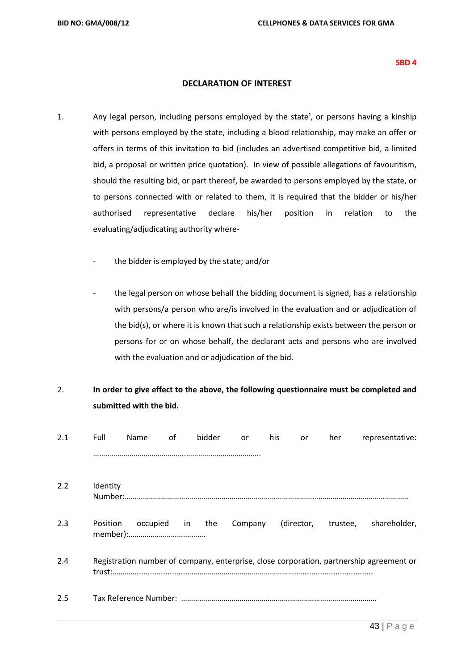#### **SBD 4**

# **DECLARATION OF INTEREST**

- 1. Any legal person, including persons employed by the state<sup>1</sup>, or persons having a kinship with persons employed by the state, including a blood relationship, may make an offer or offers in terms of this invitation to bid (includes an advertised competitive bid, a limited bid, a proposal or written price quotation). In view of possible allegations of favouritism, should the resulting bid, or part thereof, be awarded to persons employed by the state, or to persons connected with or related to them, it is required that the bidder or his/her authorised representative declare his/her position in relation to the evaluating/adjudicating authority where
	- the bidder is employed by the state; and/or
	- the legal person on whose behalf the bidding document is signed, has a relationship with persons/a person who are/is involved in the evaluation and or adjudication of the bid(s), or where it is known that such a relationship exists between the person or persons for or on whose behalf, the declarant acts and persons who are involved with the evaluation and or adjudication of the bid.

# 2. **In order to give effect to the above, the following questionnaire must be completed and submitted with the bid.**

| 2.1 | Full     | <b>Name</b>     | of | bidder | <b>or</b> | his | or | her | representative:                                                                         |
|-----|----------|-----------------|----|--------|-----------|-----|----|-----|-----------------------------------------------------------------------------------------|
|     |          |                 |    |        |           |     |    |     |                                                                                         |
| 2.2 | Identity |                 |    |        |           |     |    |     |                                                                                         |
|     |          |                 |    |        |           |     |    |     |                                                                                         |
| 2.3 | Position | occupied in the |    |        |           |     |    |     | Company (director, trustee, shareholder,                                                |
| 2.4 |          |                 |    |        |           |     |    |     | Registration number of company, enterprise, close corporation, partnership agreement or |
| 2.5 |          |                 |    |        |           |     |    |     |                                                                                         |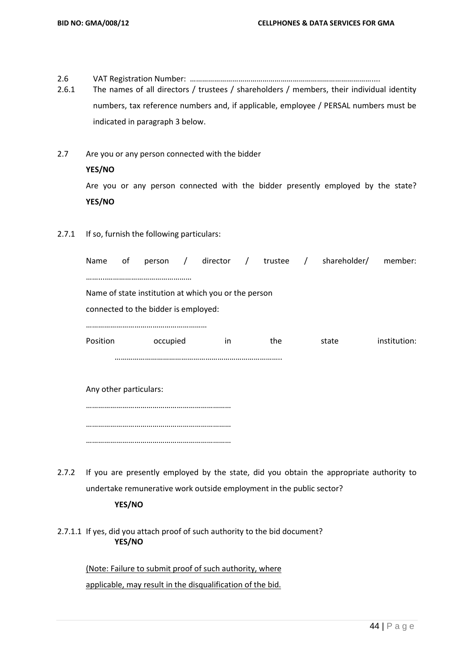2.6 VAT Registration Number: ………………………………………………………………………………....

2.6.1 The names of all directors / trustees / shareholders / members, their individual identity numbers, tax reference numbers and, if applicable, employee / PERSAL numbers must be indicated in paragraph 3 below.

- 2.7 Are you or any person connected with the bidder **YES/NO** Are you or any person connected with the bidder presently employed by the state? **YES/NO**
- 2.7.1 If so, furnish the following particulars:

| Name     | of                                                   |          |  |     |  |     |  | person / director / trustee / shareholder/ member: |              |  |
|----------|------------------------------------------------------|----------|--|-----|--|-----|--|----------------------------------------------------|--------------|--|
|          |                                                      |          |  |     |  |     |  |                                                    |              |  |
|          | Name of state institution at which you or the person |          |  |     |  |     |  |                                                    |              |  |
|          | connected to the bidder is employed:                 |          |  |     |  |     |  |                                                    |              |  |
|          |                                                      |          |  |     |  |     |  |                                                    |              |  |
| Position |                                                      | occupied |  | in. |  | the |  | state                                              | institution: |  |
|          |                                                      |          |  |     |  |     |  |                                                    |              |  |
|          |                                                      |          |  |     |  |     |  |                                                    |              |  |
|          | Any other particulars:                               |          |  |     |  |     |  |                                                    |              |  |
|          |                                                      |          |  |     |  |     |  |                                                    |              |  |
|          |                                                      |          |  |     |  |     |  |                                                    |              |  |

2.7.2 If you are presently employed by the state, did you obtain the appropriate authority to undertake remunerative work outside employment in the public sector?

# **YES/NO**

………………………………………………………………

2.7.1.1 If yes, did you attach proof of such authority to the bid document? **YES/NO**

> (Note: Failure to submit proof of such authority, where applicable, may result in the disqualification of the bid.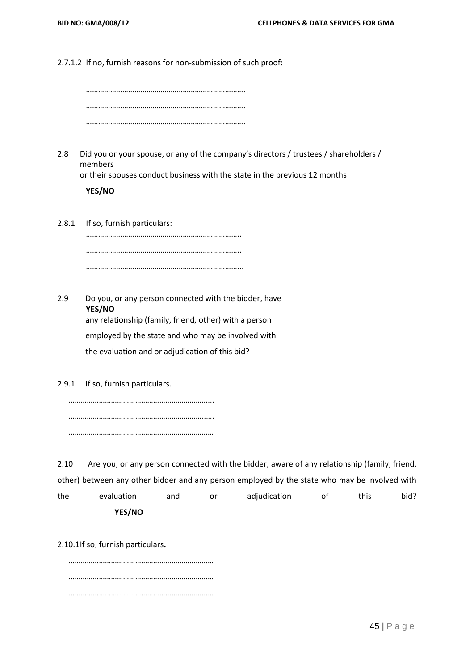2.7.1.2 If no, furnish reasons for non-submission of such proof:

2.8 Did you or your spouse, or any of the company's directors / trustees / shareholders / members

or their spouses conduct business with the state in the previous 12 months

# **YES/NO**

2.8.1 If so, furnish particulars: ………………………………………………………………….. ………………………………………………………………….. …………………………………………………………………...

2.9 Do you, or any person connected with the bidder, have **YES/NO** any relationship (family, friend, other) with a person employed by the state and who may be involved with the evaluation and or adjudication of this bid?

2.9.1 If so, furnish particulars.

……………………………………………………………... …………………………………………………………..…. ………………………………………………………………

2.10 Are you, or any person connected with the bidder, aware of any relationship (family, friend, other) between any other bidder and any person employed by the state who may be involved with the evaluation and or adjudication of this bid? **YES/NO**

2.10.1If so, furnish particulars**.**

……………………………………………………………… ……………………………………………………………… ………………………………………………………………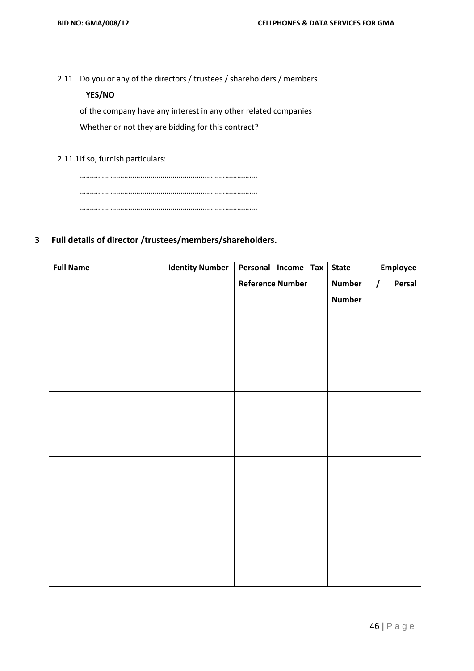2.11 Do you or any of the directors / trustees / shareholders / members

# **YES/NO**

of the company have any interest in any other related companies Whether or not they are bidding for this contract?

2.11.1If so, furnish particulars:

……………………………………………………………………………. ……………………………………………………………………………. …………………………………………………………………………….

# **3 Full details of director /trustees/members/shareholders.**

| <b>Full Name</b> | <b>Identity Number</b> | Personal Income Tax     | <b>State</b>  | Employee           |
|------------------|------------------------|-------------------------|---------------|--------------------|
|                  |                        | <b>Reference Number</b> | <b>Number</b> | Persal<br>$\prime$ |
|                  |                        |                         | <b>Number</b> |                    |
|                  |                        |                         |               |                    |
|                  |                        |                         |               |                    |
|                  |                        |                         |               |                    |
|                  |                        |                         |               |                    |
|                  |                        |                         |               |                    |
|                  |                        |                         |               |                    |
|                  |                        |                         |               |                    |
|                  |                        |                         |               |                    |
|                  |                        |                         |               |                    |
|                  |                        |                         |               |                    |
|                  |                        |                         |               |                    |
|                  |                        |                         |               |                    |
|                  |                        |                         |               |                    |
|                  |                        |                         |               |                    |
|                  |                        |                         |               |                    |
|                  |                        |                         |               |                    |
|                  |                        |                         |               |                    |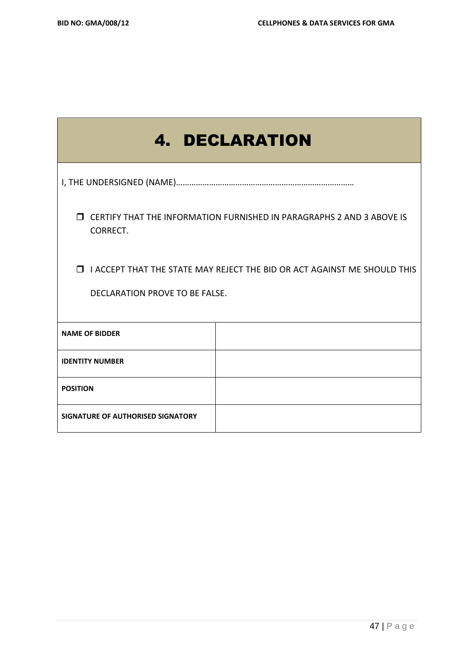| <b>4. DECLARATION</b>                                                                                                |  |  |  |  |  |  |  |
|----------------------------------------------------------------------------------------------------------------------|--|--|--|--|--|--|--|
|                                                                                                                      |  |  |  |  |  |  |  |
| <b>J CERTIFY THAT THE INFORMATION FURNISHED IN PARAGRAPHS 2 AND 3 ABOVE IS</b><br>CORRECT.                           |  |  |  |  |  |  |  |
| I ACCEPT THAT THE STATE MAY REJECT THE BID OR ACT AGAINST ME SHOULD THIS<br>$\Box$<br>DECLARATION PROVE TO BE FALSE. |  |  |  |  |  |  |  |
| <b>NAME OF BIDDER</b>                                                                                                |  |  |  |  |  |  |  |
| <b>IDENTITY NUMBER</b>                                                                                               |  |  |  |  |  |  |  |
| <b>POSITION</b>                                                                                                      |  |  |  |  |  |  |  |
| SIGNATURE OF AUTHORISED SIGNATORY                                                                                    |  |  |  |  |  |  |  |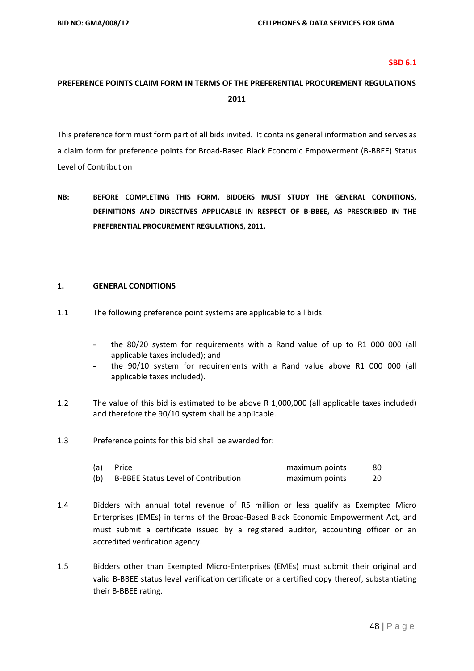#### **SBD 6.1**

# **PREFERENCE POINTS CLAIM FORM IN TERMS OF THE PREFERENTIAL PROCUREMENT REGULATIONS 2011**

This preference form must form part of all bids invited. It contains general information and serves as a claim form for preference points for Broad-Based Black Economic Empowerment (B-BBEE) Status Level of Contribution

**NB: BEFORE COMPLETING THIS FORM, BIDDERS MUST STUDY THE GENERAL CONDITIONS, DEFINITIONS AND DIRECTIVES APPLICABLE IN RESPECT OF B-BBEE, AS PRESCRIBED IN THE PREFERENTIAL PROCUREMENT REGULATIONS, 2011.** 

#### **1. GENERAL CONDITIONS**

- 1.1 The following preference point systems are applicable to all bids:
	- the 80/20 system for requirements with a Rand value of up to R1 000 000 (all applicable taxes included); and
	- the 90/10 system for requirements with a Rand value above R1 000 000 (all applicable taxes included).
- 1.2 The value of this bid is estimated to be above R 1,000,000 (all applicable taxes included) and therefore the 90/10 system shall be applicable.
- 1.3 Preference points for this bid shall be awarded for:

| (a) | Price                                      | maximum points | 80 |
|-----|--------------------------------------------|----------------|----|
| (b) | <b>B-BBEE Status Level of Contribution</b> | maximum points | 20 |

- 1.4 Bidders with annual total revenue of R5 million or less qualify as Exempted Micro Enterprises (EMEs) in terms of the Broad-Based Black Economic Empowerment Act, and must submit a certificate issued by a registered auditor, accounting officer or an accredited verification agency.
- 1.5 Bidders other than Exempted Micro-Enterprises (EMEs) must submit their original and valid B-BBEE status level verification certificate or a certified copy thereof, substantiating their B-BBEE rating.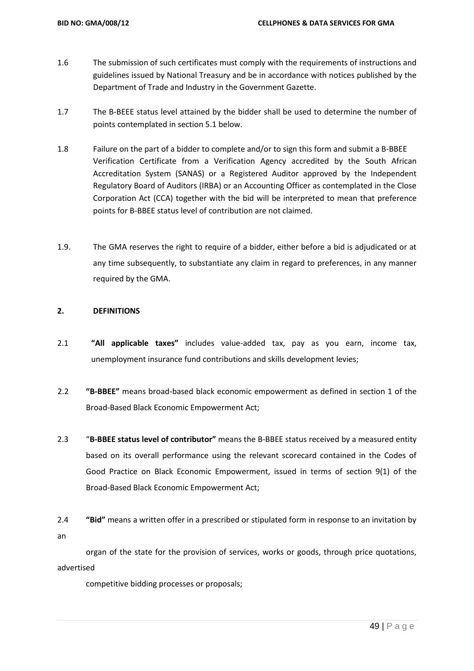- 1.6 The submission of such certificates must comply with the requirements of instructions and guidelines issued by National Treasury and be in accordance with notices published by the Department of Trade and Industry in the Government Gazette.
- 1.7 The B-BEEE status level attained by the bidder shall be used to determine the number of points contemplated in section 5.1 below.
- 1.8 Failure on the part of a bidder to complete and/or to sign this form and submit a B-BBEE Verification Certificate from a Verification Agency accredited by the South African Accreditation System (SANAS) or a Registered Auditor approved by the Independent Regulatory Board of Auditors (IRBA) or an Accounting Officer as contemplated in the Close Corporation Act (CCA) together with the bid will be interpreted to mean that preference points for B-BBEE status level of contribution are not claimed.
- 1.9. The GMA reserves the right to require of a bidder, either before a bid is adjudicated or at any time subsequently, to substantiate any claim in regard to preferences, in any manner required by the GMA.

## **2. DEFINITIONS**

- 2.1 **"All applicable taxes"** includes value-added tax, pay as you earn, income tax, unemployment insurance fund contributions and skills development levies;
- 2.2 **"B-BBEE"** means broad-based black economic empowerment as defined in section 1 of the Broad-Based Black Economic Empowerment Act;
- 2.3 "**B-BBEE status level of contributor"** means the B-BBEE status received by a measured entity based on its overall performance using the relevant scorecard contained in the Codes of Good Practice on Black Economic Empowerment, issued in terms of section 9(1) of the Broad-Based Black Economic Empowerment Act;
- 2.4 **"Bid"** means a written offer in a prescribed or stipulated form in response to an invitation by an

organ of the state for the provision of services, works or goods, through price quotations, advertised

competitive bidding processes or proposals;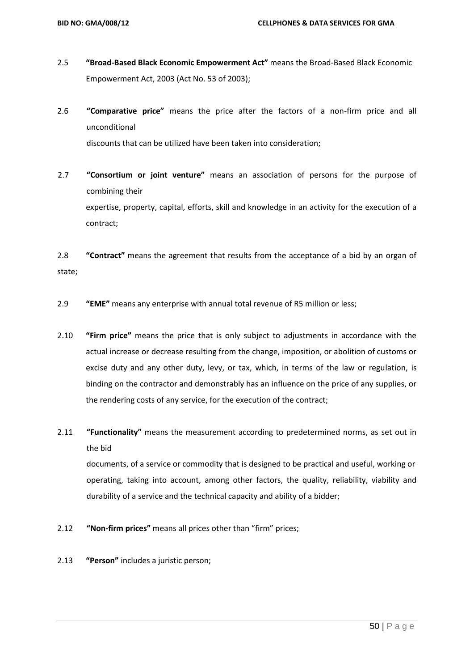- 2.5 **"Broad-Based Black Economic Empowerment Act"** means the Broad-Based Black Economic Empowerment Act, 2003 (Act No. 53 of 2003);
- 2.6 **"Comparative price"** means the price after the factors of a non-firm price and all unconditional discounts that can be utilized have been taken into consideration;
- 2.7 **"Consortium or joint venture"** means an association of persons for the purpose of combining their expertise, property, capital, efforts, skill and knowledge in an activity for the execution of a contract;

2.8 **"Contract"** means the agreement that results from the acceptance of a bid by an organ of state;

- 2.9 **"EME"** means any enterprise with annual total revenue of R5 million or less;
- 2.10 **"Firm price"** means the price that is only subject to adjustments in accordance with the actual increase or decrease resulting from the change, imposition, or abolition of customs or excise duty and any other duty, levy, or tax, which, in terms of the law or regulation, is binding on the contractor and demonstrably has an influence on the price of any supplies, or the rendering costs of any service, for the execution of the contract;
- 2.11 **"Functionality"** means the measurement according to predetermined norms, as set out in the bid

documents, of a service or commodity that is designed to be practical and useful, working or operating, taking into account, among other factors, the quality, reliability, viability and durability of a service and the technical capacity and ability of a bidder;

- 2.12 **"Non-firm prices"** means all prices other than "firm" prices;
- 2.13 **"Person"** includes a juristic person;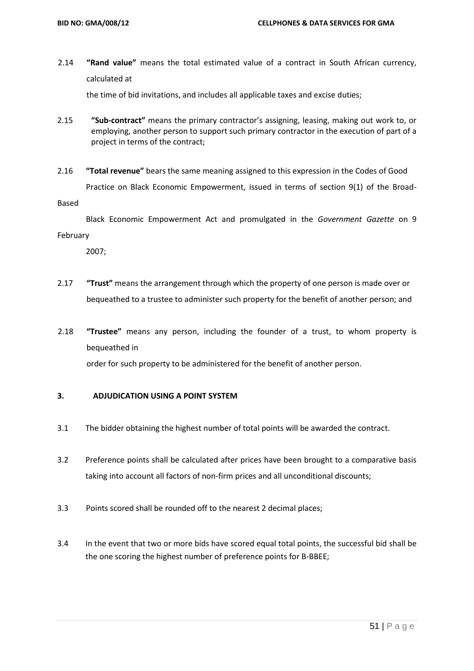2.14 **"Rand value"** means the total estimated value of a contract in South African currency, calculated at

the time of bid invitations, and includes all applicable taxes and excise duties;

- 2.15 **"Sub-contract"** means the primary contractor's assigning, leasing, making out work to, or employing, another person to support such primary contractor in the execution of part of a project in terms of the contract;
- 2.16 **"Total revenue"** bears the same meaning assigned to this expression in the Codes of Good Practice on Black Economic Empowerment, issued in terms of section 9(1) of the Broad-

Based

 Black Economic Empowerment Act and promulgated in the *Government Gazette* on 9 February

2007;

- 2.17 **"Trust"** means the arrangement through which the property of one person is made over or bequeathed to a trustee to administer such property for the benefit of another person; and
- 2.18 **"Trustee"** means any person, including the founder of a trust, to whom property is bequeathed in

order for such property to be administered for the benefit of another person.

### **3. ADJUDICATION USING A POINT SYSTEM**

- 3.1 The bidder obtaining the highest number of total points will be awarded the contract.
- 3.2 Preference points shall be calculated after prices have been brought to a comparative basis taking into account all factors of non-firm prices and all unconditional discounts;
- 3.3 Points scored shall be rounded off to the nearest 2 decimal places;
- 3.4 In the event that two or more bids have scored equal total points, the successful bid shall be the one scoring the highest number of preference points for B-BBEE;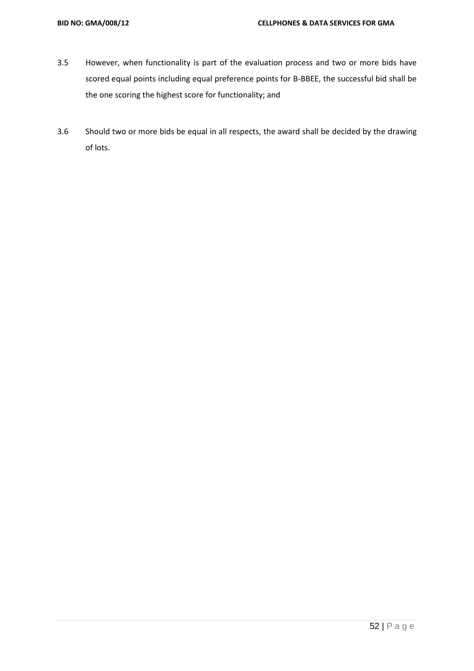- 3.5 However, when functionality is part of the evaluation process and two or more bids have scored equal points including equal preference points for B-BBEE, the successful bid shall be the one scoring the highest score for functionality; and
- 3.6 Should two or more bids be equal in all respects, the award shall be decided by the drawing of lots.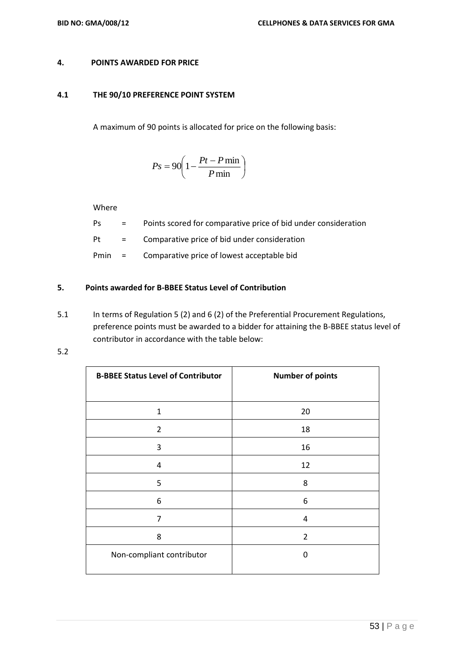# **4. POINTS AWARDED FOR PRICE**

### **4.1 THE 90/10 PREFERENCE POINT SYSTEM**

A maximum of 90 points is allocated for price on the following basis:

$$
Ps = 90 \left( 1 - \frac{Pt - P \min}{P \min} \right)
$$

Where

- Ps = Points scored for comparative price of bid under consideration
- Pt = Comparative price of bid under consideration
- Pmin = Comparative price of lowest acceptable bid

# **5. Points awarded for B-BBEE Status Level of Contribution**

- 5.1 In terms of Regulation 5 (2) and 6 (2) of the Preferential Procurement Regulations, preference points must be awarded to a bidder for attaining the B-BBEE status level of contributor in accordance with the table below:
- 5.2

| <b>B-BBEE Status Level of Contributor</b> | <b>Number of points</b> |
|-------------------------------------------|-------------------------|
|                                           |                         |
| $\mathbf{1}$                              | 20                      |
| $\overline{2}$                            | 18                      |
| 3                                         | 16                      |
| $\overline{4}$                            | 12                      |
| 5                                         | 8                       |
| 6                                         | 6                       |
| 7                                         | 4                       |
| 8                                         | $\overline{2}$          |
| Non-compliant contributor                 | 0                       |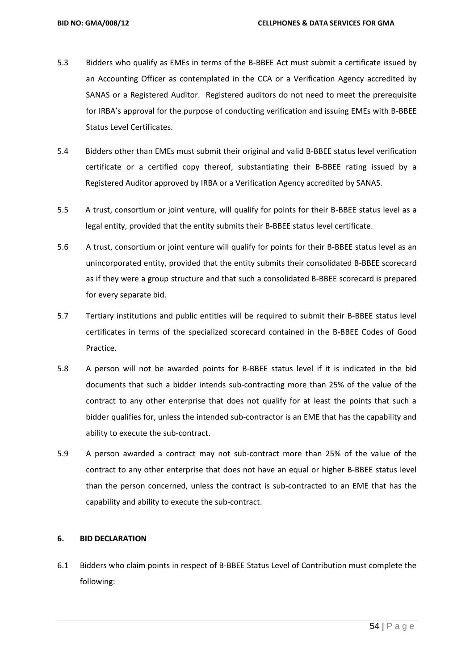- 5.3 Bidders who qualify as EMEs in terms of the B-BBEE Act must submit a certificate issued by an Accounting Officer as contemplated in the CCA or a Verification Agency accredited by SANAS or a Registered Auditor. Registered auditors do not need to meet the prerequisite for IRBA's approval for the purpose of conducting verification and issuing EMEs with B-BBEE Status Level Certificates.
- 5.4 Bidders other than EMEs must submit their original and valid B-BBEE status level verification certificate or a certified copy thereof, substantiating their B-BBEE rating issued by a Registered Auditor approved by IRBA or a Verification Agency accredited by SANAS.
- 5.5 A trust, consortium or joint venture, will qualify for points for their B-BBEE status level as a legal entity, provided that the entity submits their B-BBEE status level certificate.
- 5.6 A trust, consortium or joint venture will qualify for points for their B-BBEE status level as an unincorporated entity, provided that the entity submits their consolidated B-BBEE scorecard as if they were a group structure and that such a consolidated B-BBEE scorecard is prepared for every separate bid.
- 5.7 Tertiary institutions and public entities will be required to submit their B-BBEE status level certificates in terms of the specialized scorecard contained in the B-BBEE Codes of Good Practice.
- 5.8 A person will not be awarded points for B-BBEE status level if it is indicated in the bid documents that such a bidder intends sub-contracting more than 25% of the value of the contract to any other enterprise that does not qualify for at least the points that such a bidder qualifies for, unless the intended sub-contractor is an EME that has the capability and ability to execute the sub-contract.
- 5.9 A person awarded a contract may not sub-contract more than 25% of the value of the contract to any other enterprise that does not have an equal or higher B-BBEE status level than the person concerned, unless the contract is sub-contracted to an EME that has the capability and ability to execute the sub-contract.

## **6. BID DECLARATION**

6.1 Bidders who claim points in respect of B-BBEE Status Level of Contribution must complete the following: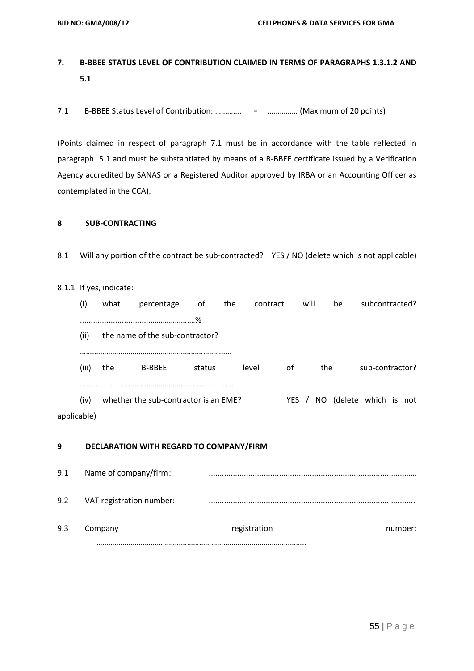# **7. B-BBEE STATUS LEVEL OF CONTRIBUTION CLAIMED IN TERMS OF PARAGRAPHS 1.3.1.2 AND 5.1**

7.1 B-BBEE Status Level of Contribution: …………. = …………… (Maximum of 20 points)

(Points claimed in respect of paragraph 7.1 must be in accordance with the table reflected in paragraph 5.1 and must be substantiated by means of a B-BBEE certificate issued by a Verification Agency accredited by SANAS or a Registered Auditor approved by IRBA or an Accounting Officer as contemplated in the CCA).

# **8 SUB-CONTRACTING**

8.1 Will any portion of the contract be sub-contracted? YES / NO (delete which is not applicable)

### 8.1.1 If yes, indicate:

|             | (i)   | what | percentage                            | оt     | the | contract |       | will | be  | subcontracted?       |
|-------------|-------|------|---------------------------------------|--------|-----|----------|-------|------|-----|----------------------|
|             |       |      |                                       | .%     |     |          |       |      |     |                      |
|             | (ii)  |      | the name of the sub-contractor?       |        |     |          |       |      |     |                      |
|             |       |      |                                       |        |     |          |       |      |     |                      |
|             | (iii) | the  | <b>B-BBEE</b>                         | status |     | level    | 0f    |      | the | sub-contractor?      |
|             |       |      |                                       |        |     |          |       |      |     |                      |
|             | (iv)  |      | whether the sub-contractor is an EME? |        |     |          | YES / |      | NO. | (delete which is not |
| applicable) |       |      |                                       |        |     |          |       |      |     |                      |

### **9 DECLARATION WITH REGARD TO COMPANY/FIRM**

9.1 Name of company/firm: .........................................................................................…… 9.2 VAT registration number: .............................................................................................. 9.3 Company registration registration company registration …………………………………………………………………………………………..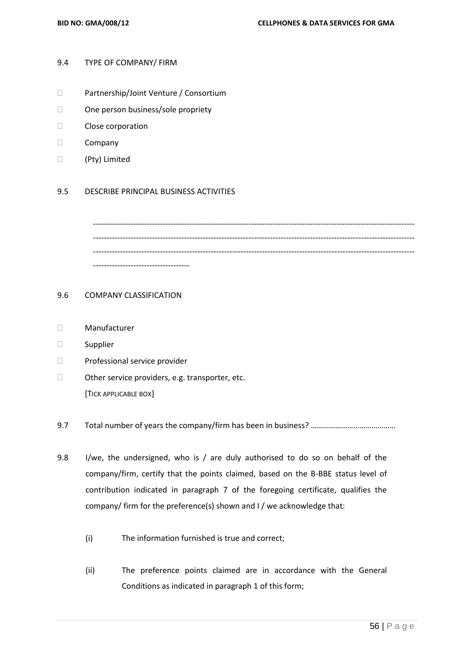### 9.4 TYPE OF COMPANY/ FIRM

- Partnership/Joint Venture / Consortium
- □ One person business/sole propriety
- Close corporation
- D Company
- (Pty) Limited

### 9.5 DESCRIBE PRINCIPAL BUSINESS ACTIVITIES

------------------------------------------------------------------------------------------------------------------------ ------------------------------------------------------------------------------------------------------------------------ ------------------------------------

### 9.6 COMPANY CLASSIFICATION

- Manufacturer
- Supplier
- D Professional service provider
- $\Box$  Other service providers, e.g. transporter, etc. [TICK APPLICABLE BOX]
- 9.7 Total number of years the company/firm has been in business? ……………………………………
- 9.8 I/we, the undersigned, who is / are duly authorised to do so on behalf of the company/firm, certify that the points claimed, based on the B-BBE status level of contribution indicated in paragraph 7 of the foregoing certificate, qualifies the company/ firm for the preference(s) shown and I / we acknowledge that:
	- (i) The information furnished is true and correct;
	- (ii) The preference points claimed are in accordance with the General Conditions as indicated in paragraph 1 of this form;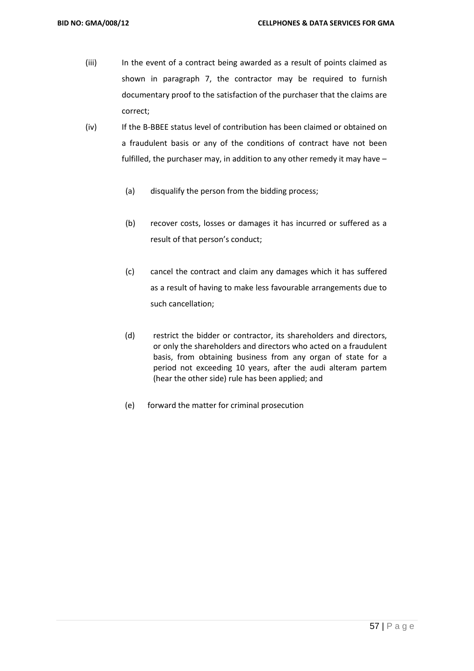- (iii) In the event of a contract being awarded as a result of points claimed as shown in paragraph 7, the contractor may be required to furnish documentary proof to the satisfaction of the purchaser that the claims are correct;
- (iv) If the B-BBEE status level of contribution has been claimed or obtained on a fraudulent basis or any of the conditions of contract have not been fulfilled, the purchaser may, in addition to any other remedy it may have –
	- (a) disqualify the person from the bidding process;
	- (b) recover costs, losses or damages it has incurred or suffered as a result of that person's conduct;
	- (c) cancel the contract and claim any damages which it has suffered as a result of having to make less favourable arrangements due to such cancellation;
	- (d) restrict the bidder or contractor, its shareholders and directors, or only the shareholders and directors who acted on a fraudulent basis, from obtaining business from any organ of state for a period not exceeding 10 years, after the audi alteram partem (hear the other side) rule has been applied; and
	- (e) forward the matter for criminal prosecution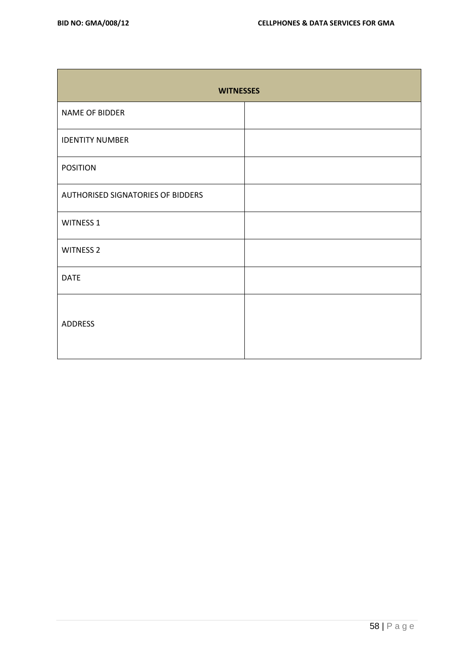| <b>WITNESSES</b>                  |  |  |  |  |  |  |  |
|-----------------------------------|--|--|--|--|--|--|--|
| NAME OF BIDDER                    |  |  |  |  |  |  |  |
| <b>IDENTITY NUMBER</b>            |  |  |  |  |  |  |  |
| <b>POSITION</b>                   |  |  |  |  |  |  |  |
| AUTHORISED SIGNATORIES OF BIDDERS |  |  |  |  |  |  |  |
| <b>WITNESS 1</b>                  |  |  |  |  |  |  |  |
| <b>WITNESS 2</b>                  |  |  |  |  |  |  |  |
| <b>DATE</b>                       |  |  |  |  |  |  |  |
| <b>ADDRESS</b>                    |  |  |  |  |  |  |  |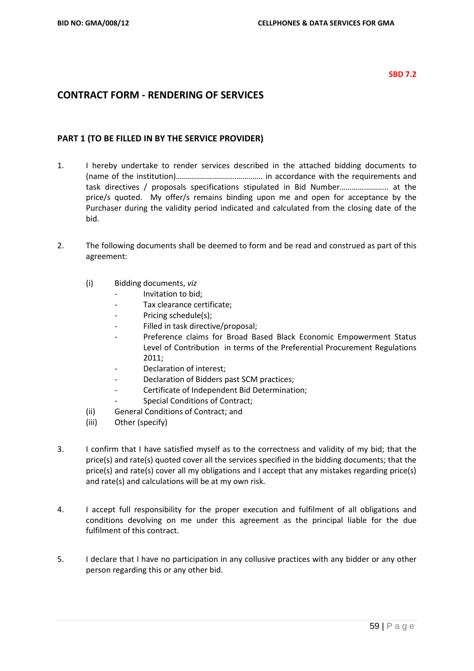### **SBD 7.2**

# **CONTRACT FORM - RENDERING OF SERVICES**

# **PART 1 (TO BE FILLED IN BY THE SERVICE PROVIDER)**

- 1. I hereby undertake to render services described in the attached bidding documents to (name of the institution)……………………………………. in accordance with the requirements and task directives / proposals specifications stipulated in Bid Number………….……….. at the price/s quoted. My offer/s remains binding upon me and open for acceptance by the Purchaser during the validity period indicated and calculated from the closing date of the bid.
- 2. The following documents shall be deemed to form and be read and construed as part of this agreement:
	- (i) Bidding documents, *viz*
		- *-* Invitation to bid;
		- *-* Tax clearance certificate;
		- Pricing schedule(s);
		- *-* Filled in task directive/proposal;
		- *-* Preference claims for Broad Based Black Economic Empowerment Status Level of Contribution in terms of the Preferential Procurement Regulations 2011;
		- *-* Declaration of interest;
		- *-* Declaration of Bidders past SCM practices;
		- *-* Certificate of Independent Bid Determination;
		- **Special Conditions of Contract;**
	- (ii) General Conditions of Contract; and
	- (iii) Other (specify)
- 3. I confirm that I have satisfied myself as to the correctness and validity of my bid; that the price(s) and rate(s) quoted cover all the services specified in the bidding documents; that the price(s) and rate(s) cover all my obligations and I accept that any mistakes regarding price(s) and rate(s) and calculations will be at my own risk.
- 4. I accept full responsibility for the proper execution and fulfilment of all obligations and conditions devolving on me under this agreement as the principal liable for the due fulfilment of this contract.
- 5. I declare that I have no participation in any collusive practices with any bidder or any other person regarding this or any other bid.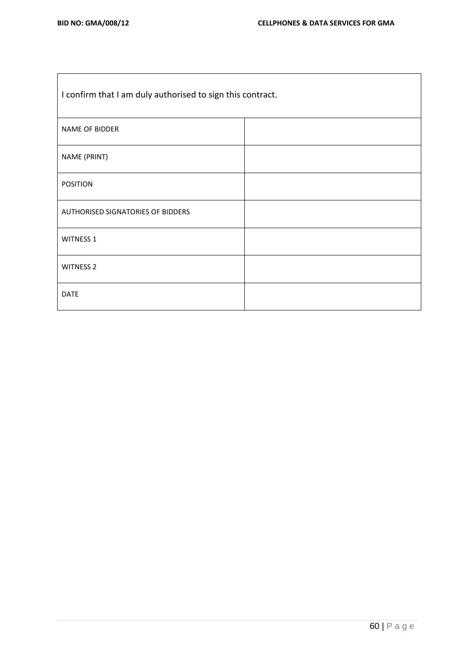$\mathbf{r}$ 

 $\overline{\phantom{0}}$ 

| I confirm that I am duly authorised to sign this contract. |  |  |  |  |  |
|------------------------------------------------------------|--|--|--|--|--|
| NAME OF BIDDER                                             |  |  |  |  |  |
| NAME (PRINT)                                               |  |  |  |  |  |
| <b>POSITION</b>                                            |  |  |  |  |  |
| AUTHORISED SIGNATORIES OF BIDDERS                          |  |  |  |  |  |
| <b>WITNESS 1</b>                                           |  |  |  |  |  |
| <b>WITNESS 2</b>                                           |  |  |  |  |  |
| <b>DATE</b>                                                |  |  |  |  |  |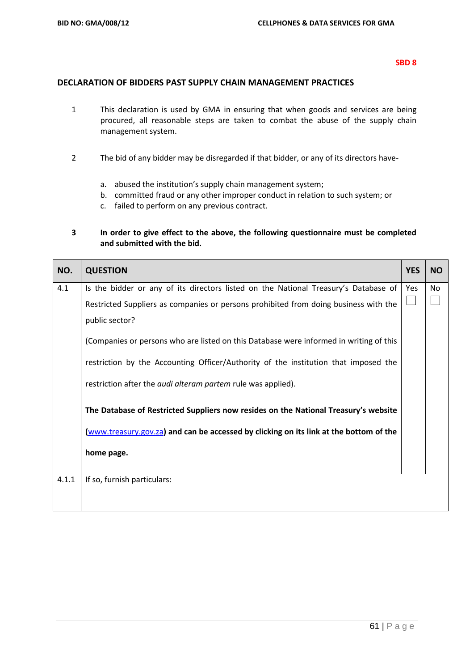# **DECLARATION OF BIDDERS PAST SUPPLY CHAIN MANAGEMENT PRACTICES**

- 1 This declaration is used by GMA in ensuring that when goods and services are being procured, all reasonable steps are taken to combat the abuse of the supply chain management system.
- 2 The bid of any bidder may be disregarded if that bidder, or any of its directors have
	- a. abused the institution's supply chain management system;
	- b. committed fraud or any other improper conduct in relation to such system; or
	- c. failed to perform on any previous contract.

# **3 In order to give effect to the above, the following questionnaire must be completed and submitted with the bid.**

| NO.   | <b>QUESTION</b>                                                                        | <b>YES</b> | <b>NO</b> |
|-------|----------------------------------------------------------------------------------------|------------|-----------|
| 4.1   | Is the bidder or any of its directors listed on the National Treasury's Database of    | Yes        | No        |
|       | Restricted Suppliers as companies or persons prohibited from doing business with the   |            |           |
|       | public sector?                                                                         |            |           |
|       | (Companies or persons who are listed on this Database were informed in writing of this |            |           |
|       | restriction by the Accounting Officer/Authority of the institution that imposed the    |            |           |
|       | restriction after the <i>audi alteram partem</i> rule was applied).                    |            |           |
|       | The Database of Restricted Suppliers now resides on the National Treasury's website    |            |           |
|       | (www.treasury.gov.za) and can be accessed by clicking on its link at the bottom of the |            |           |
|       | home page.                                                                             |            |           |
| 4.1.1 | If so, furnish particulars:                                                            |            |           |
|       |                                                                                        |            |           |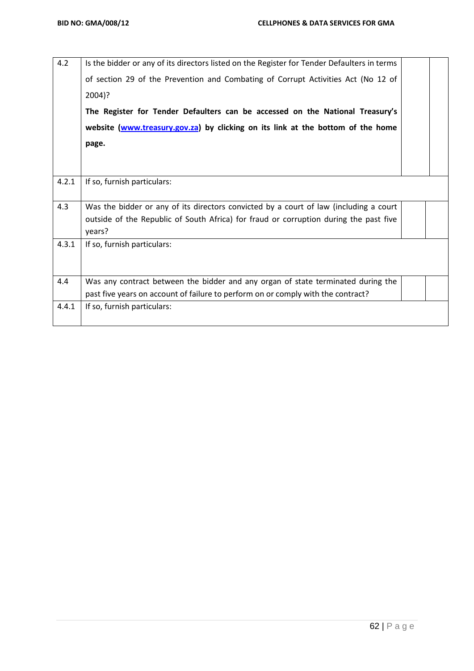| 4.2   | Is the bidder or any of its directors listed on the Register for Tender Defaulters in terms     |  |  |  |  |  |
|-------|-------------------------------------------------------------------------------------------------|--|--|--|--|--|
|       | of section 29 of the Prevention and Combating of Corrupt Activities Act (No 12 of               |  |  |  |  |  |
|       | $2004$ ?                                                                                        |  |  |  |  |  |
|       | The Register for Tender Defaulters can be accessed on the National Treasury's                   |  |  |  |  |  |
|       | website (www.treasury.gov.za) by clicking on its link at the bottom of the home                 |  |  |  |  |  |
|       | page.                                                                                           |  |  |  |  |  |
|       |                                                                                                 |  |  |  |  |  |
|       |                                                                                                 |  |  |  |  |  |
| 4.2.1 | If so, furnish particulars:                                                                     |  |  |  |  |  |
| 4.3   | Was the bidder or any of its directors convicted by a court of law (including a court           |  |  |  |  |  |
|       | outside of the Republic of South Africa) for fraud or corruption during the past five<br>years? |  |  |  |  |  |
| 4.3.1 | If so, furnish particulars:                                                                     |  |  |  |  |  |
|       |                                                                                                 |  |  |  |  |  |
| 4.4   | Was any contract between the bidder and any organ of state terminated during the                |  |  |  |  |  |
|       | past five years on account of failure to perform on or comply with the contract?                |  |  |  |  |  |
| 4.4.1 | If so, furnish particulars:                                                                     |  |  |  |  |  |
|       |                                                                                                 |  |  |  |  |  |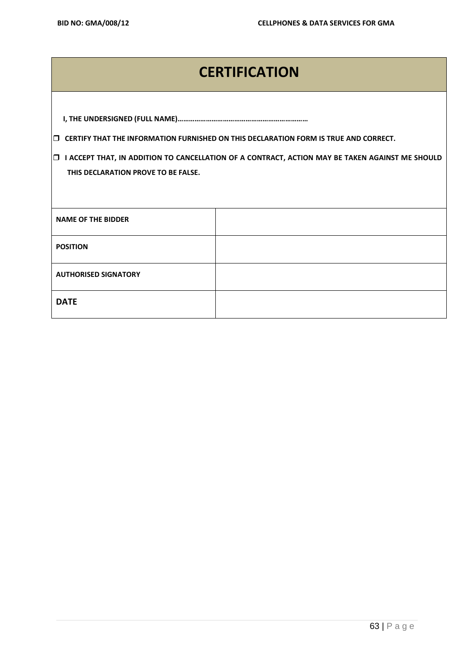# **CERTIFICATION**

**I, THE UNDERSIGNED (FULL NAME)……………………………………………………………**

**CERTIFY THAT THE INFORMATION FURNISHED ON THIS DECLARATION FORM IS TRUE AND CORRECT.**

 **I ACCEPT THAT, IN ADDITION TO CANCELLATION OF A CONTRACT, ACTION MAY BE TAKEN AGAINST ME SHOULD THIS DECLARATION PROVE TO BE FALSE.**

| <b>NAME OF THE BIDDER</b>   |  |
|-----------------------------|--|
| <b>POSITION</b>             |  |
| <b>AUTHORISED SIGNATORY</b> |  |
| <b>DATE</b>                 |  |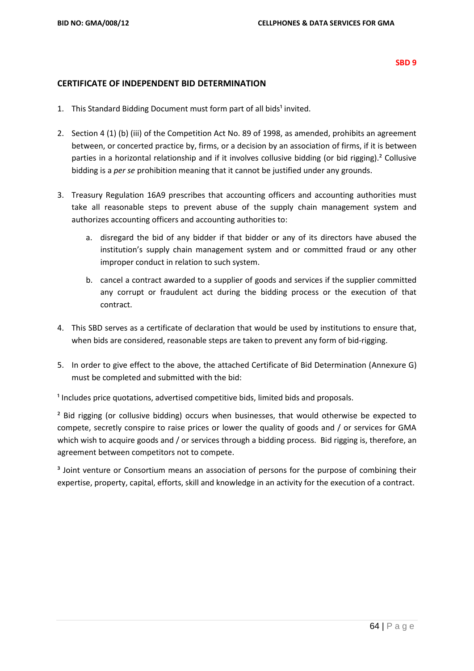### **CERTIFICATE OF INDEPENDENT BID DETERMINATION**

- 1. This Standard Bidding Document must form part of all bids<sup>1</sup> invited.
- 2. Section 4 (1) (b) (iii) of the Competition Act No. 89 of 1998, as amended, prohibits an agreement between, or concerted practice by, firms, or a decision by an association of firms, if it is between parties in a horizontal relationship and if it involves collusive bidding (or bid rigging).² Collusive bidding is a *per se* prohibition meaning that it cannot be justified under any grounds.
- 3. Treasury Regulation 16A9 prescribes that accounting officers and accounting authorities must take all reasonable steps to prevent abuse of the supply chain management system and authorizes accounting officers and accounting authorities to:
	- a. disregard the bid of any bidder if that bidder or any of its directors have abused the institution's supply chain management system and or committed fraud or any other improper conduct in relation to such system.
	- b. cancel a contract awarded to a supplier of goods and services if the supplier committed any corrupt or fraudulent act during the bidding process or the execution of that contract.
- 4. This SBD serves as a certificate of declaration that would be used by institutions to ensure that, when bids are considered, reasonable steps are taken to prevent any form of bid-rigging.
- 5. In order to give effect to the above, the attached Certificate of Bid Determination (Annexure G) must be completed and submitted with the bid:

 $<sup>1</sup>$  Includes price quotations, advertised competitive bids, limited bids and proposals.</sup>

<sup>2</sup> Bid rigging (or collusive bidding) occurs when businesses, that would otherwise be expected to compete, secretly conspire to raise prices or lower the quality of goods and / or services for GMA which wish to acquire goods and / or services through a bidding process. Bid rigging is, therefore, an agreement between competitors not to compete.

<sup>3</sup> Joint venture or Consortium means an association of persons for the purpose of combining their expertise, property, capital, efforts, skill and knowledge in an activity for the execution of a contract.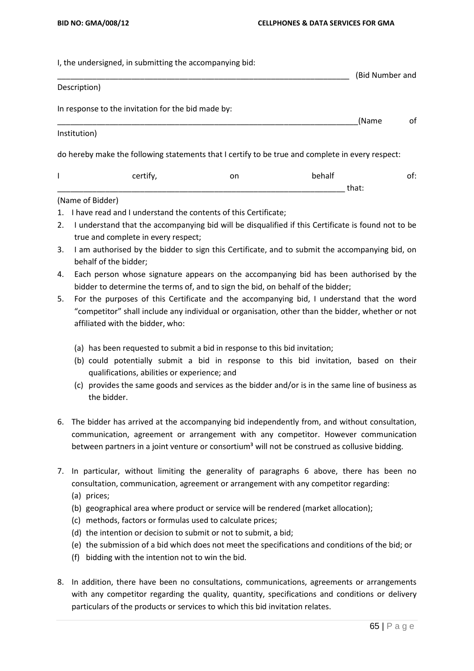I, the undersigned, in submitting the accompanying bid:

|                  |                                                    |    |                                                                                                  | (Bid Number and |
|------------------|----------------------------------------------------|----|--------------------------------------------------------------------------------------------------|-----------------|
| Description)     |                                                    |    |                                                                                                  |                 |
|                  | In response to the invitation for the bid made by: |    |                                                                                                  |                 |
|                  |                                                    |    | (Name                                                                                            | οf              |
| Institution)     |                                                    |    |                                                                                                  |                 |
|                  |                                                    |    | do hereby make the following statements that I certify to be true and complete in every respect: |                 |
| I                | certify,                                           | on | behalf                                                                                           | of:             |
|                  |                                                    |    | that:                                                                                            |                 |
| (Name of Bidder) |                                                    |    |                                                                                                  |                 |

- 1. I have read and I understand the contents of this Certificate;
- 2. I understand that the accompanying bid will be disqualified if this Certificate is found not to be true and complete in every respect;
- 3. I am authorised by the bidder to sign this Certificate, and to submit the accompanying bid, on behalf of the bidder;
- 4. Each person whose signature appears on the accompanying bid has been authorised by the bidder to determine the terms of, and to sign the bid, on behalf of the bidder;
- 5. For the purposes of this Certificate and the accompanying bid, I understand that the word "competitor" shall include any individual or organisation, other than the bidder, whether or not affiliated with the bidder, who:
	- (a) has been requested to submit a bid in response to this bid invitation;
	- (b) could potentially submit a bid in response to this bid invitation, based on their qualifications, abilities or experience; and
	- (c) provides the same goods and services as the bidder and/or is in the same line of business as the bidder.
- 6. The bidder has arrived at the accompanying bid independently from, and without consultation, communication, agreement or arrangement with any competitor. However communication between partners in a joint venture or consortium<sup>3</sup> will not be construed as collusive bidding.
- 7. In particular, without limiting the generality of paragraphs 6 above, there has been no consultation, communication, agreement or arrangement with any competitor regarding:
	- (a) prices;
	- (b) geographical area where product or service will be rendered (market allocation);
	- (c) methods, factors or formulas used to calculate prices;
	- (d) the intention or decision to submit or not to submit, a bid;
	- (e) the submission of a bid which does not meet the specifications and conditions of the bid; or
	- (f) bidding with the intention not to win the bid.
- 8. In addition, there have been no consultations, communications, agreements or arrangements with any competitor regarding the quality, quantity, specifications and conditions or delivery particulars of the products or services to which this bid invitation relates.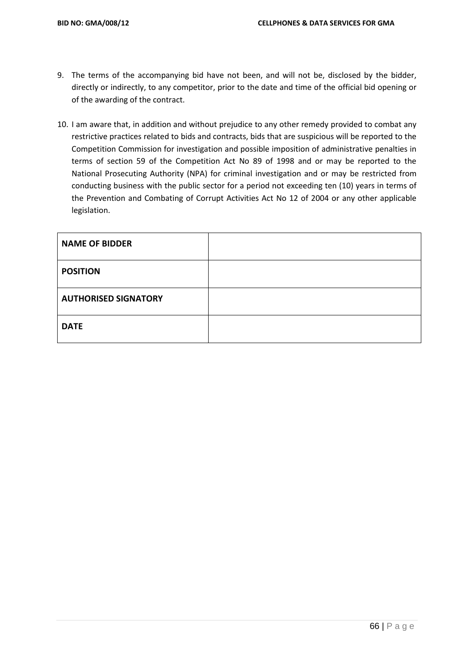- 9. The terms of the accompanying bid have not been, and will not be, disclosed by the bidder, directly or indirectly, to any competitor, prior to the date and time of the official bid opening or of the awarding of the contract.
- 10. I am aware that, in addition and without prejudice to any other remedy provided to combat any restrictive practices related to bids and contracts, bids that are suspicious will be reported to the Competition Commission for investigation and possible imposition of administrative penalties in terms of section 59 of the Competition Act No 89 of 1998 and or may be reported to the National Prosecuting Authority (NPA) for criminal investigation and or may be restricted from conducting business with the public sector for a period not exceeding ten (10) years in terms of the Prevention and Combating of Corrupt Activities Act No 12 of 2004 or any other applicable legislation.

| <b>NAME OF BIDDER</b>       |  |
|-----------------------------|--|
| <b>POSITION</b>             |  |
| <b>AUTHORISED SIGNATORY</b> |  |
| <b>DATE</b>                 |  |